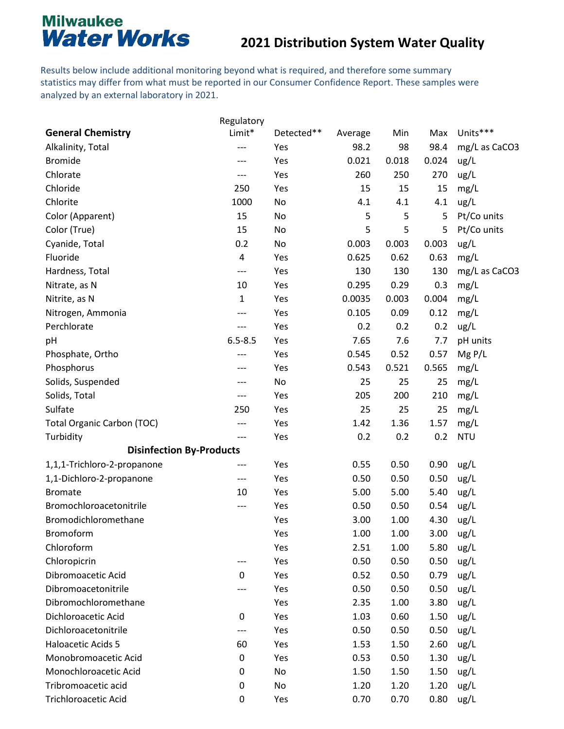#### **2021 Distribution System Water Quality**

Results below include additional monitoring beyond what is required, and therefore some summary statistics may differ from what must be reported in our Consumer Confidence Report. These samples were analyzed by an external laboratory in 2021.

|                                   | Regulatory  |            |         |       |       |               |
|-----------------------------------|-------------|------------|---------|-------|-------|---------------|
| <b>General Chemistry</b>          | Limit*      | Detected** | Average | Min   | Max   | Units***      |
| Alkalinity, Total                 | ---         | Yes        | 98.2    | 98    | 98.4  | mg/L as CaCO3 |
| <b>Bromide</b>                    | ---         | Yes        | 0.021   | 0.018 | 0.024 | ug/L          |
| Chlorate                          | ---         | Yes        | 260     | 250   | 270   | ug/L          |
| Chloride                          | 250         | Yes        | 15      | 15    | 15    | mg/L          |
| Chlorite                          | 1000        | No         | 4.1     | 4.1   | 4.1   | ug/L          |
| Color (Apparent)                  | 15          | No         | 5       | 5     | 5     | Pt/Co units   |
| Color (True)                      | 15          | No         | 5       | 5     | 5     | Pt/Co units   |
| Cyanide, Total                    | 0.2         | No         | 0.003   | 0.003 | 0.003 | ug/L          |
| Fluoride                          | 4           | Yes        | 0.625   | 0.62  | 0.63  | mg/L          |
| Hardness, Total                   | ---         | Yes        | 130     | 130   | 130   | mg/L as CaCO3 |
| Nitrate, as N                     | 10          | Yes        | 0.295   | 0.29  | 0.3   | mg/L          |
| Nitrite, as N                     | 1           | Yes        | 0.0035  | 0.003 | 0.004 | mg/L          |
| Nitrogen, Ammonia                 | ---         | Yes        | 0.105   | 0.09  | 0.12  | mg/L          |
| Perchlorate                       | ---         | Yes        | 0.2     | 0.2   | 0.2   | ug/L          |
| pH                                | $6.5 - 8.5$ | Yes        | 7.65    | 7.6   | 7.7   | pH units      |
| Phosphate, Ortho                  | ---         | Yes        | 0.545   | 0.52  | 0.57  | MgP/L         |
| Phosphorus                        | ---         | Yes        | 0.543   | 0.521 | 0.565 | mg/L          |
| Solids, Suspended                 | ---         | No         | 25      | 25    | 25    | mg/L          |
| Solids, Total                     | ---         | Yes        | 205     | 200   | 210   | mg/L          |
| Sulfate                           | 250         | Yes        | 25      | 25    | 25    | mg/L          |
| <b>Total Organic Carbon (TOC)</b> | ---         | Yes        | 1.42    | 1.36  | 1.57  | mg/L          |
| Turbidity                         | ---         | Yes        | 0.2     | 0.2   | 0.2   | <b>NTU</b>    |
| <b>Disinfection By-Products</b>   |             |            |         |       |       |               |
| 1,1,1-Trichloro-2-propanone       | ---         | Yes        | 0.55    | 0.50  | 0.90  | ug/L          |
| 1,1-Dichloro-2-propanone          | ---         | Yes        | 0.50    | 0.50  | 0.50  | ug/L          |
| <b>Bromate</b>                    | 10          | Yes        | 5.00    | 5.00  | 5.40  | ug/L          |
| Bromochloroacetonitrile           | ---         | Yes        | 0.50    | 0.50  | 0.54  | ug/L          |
| Bromodichloromethane              |             | Yes        | 3.00    | 1.00  | 4.30  | ug/L          |
| Bromoform                         |             | Yes        | 1.00    | 1.00  | 3.00  | ug/L          |
| Chloroform                        |             | Yes        | 2.51    | 1.00  | 5.80  | ug/L          |
| Chloropicrin                      | ---         | Yes        | 0.50    | 0.50  | 0.50  | ug/L          |
| Dibromoacetic Acid                | 0           | Yes        | 0.52    | 0.50  | 0.79  | ug/L          |
| Dibromoacetonitrile               |             | Yes        | 0.50    | 0.50  | 0.50  | ug/L          |
| Dibromochloromethane              |             | Yes        | 2.35    | 1.00  | 3.80  | ug/L          |
| Dichloroacetic Acid               | 0           | Yes        | 1.03    | 0.60  | 1.50  | ug/L          |
| Dichloroacetonitrile              | ---         | Yes        | 0.50    | 0.50  | 0.50  | ug/L          |
| Haloacetic Acids 5                | 60          | Yes        | 1.53    | 1.50  | 2.60  | ug/L          |
| Monobromoacetic Acid              | 0           | Yes        | 0.53    | 0.50  | 1.30  | ug/L          |
| Monochloroacetic Acid             | 0           | No         | 1.50    | 1.50  | 1.50  | ug/L          |
| Tribromoacetic acid               | 0           | No         | 1.20    | 1.20  | 1.20  | ug/L          |
| Trichloroacetic Acid              | 0           | Yes        | 0.70    | 0.70  | 0.80  | ug/L          |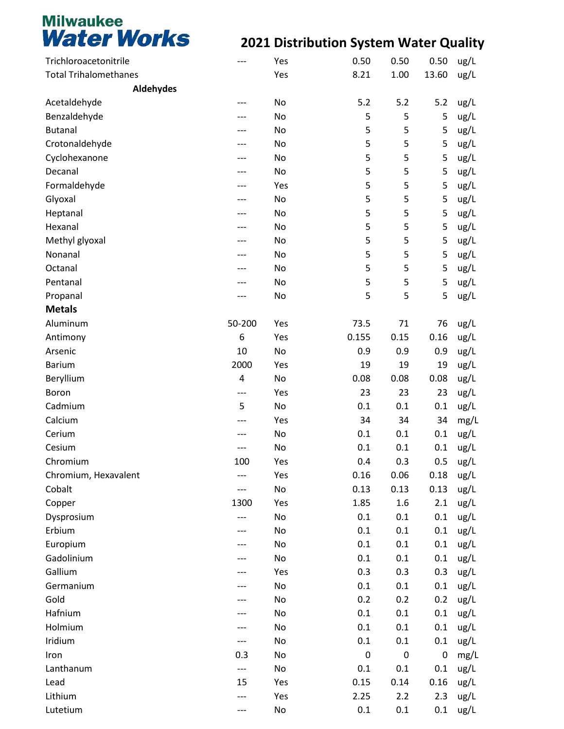| <b>Total Trihalomethanes</b><br>Yes<br>8.21<br>1.00<br>13.60<br>ug/L<br><b>Aldehydes</b><br>Acetaldehyde<br>5.2<br>5.2<br>5.2<br>No<br>ug/L<br>5<br>5<br>5<br>Benzaldehyde<br>No<br>ug/L<br>5<br>5<br>5<br><b>Butanal</b><br>ug/L<br>No<br>5<br>5<br>5<br>Crotonaldehyde<br>No<br>ug/L<br>5<br>5<br>5<br>Cyclohexanone<br>ug/L<br>No<br>5<br>5<br>5<br>Decanal<br>No<br>ug/L<br>5<br>5<br>5<br>Formaldehyde<br>ug/L<br>Yes<br>5<br>5<br>5<br>Glyoxal<br>No<br>ug/L<br>5<br>5<br>5<br>ug/L<br>Heptanal<br>No<br>5<br>5<br>5<br>Hexanal<br>ug/L<br>No<br>5<br>5<br>5<br>Methyl glyoxal<br>ug/L<br>No<br>5<br>5<br>5<br>Nonanal<br>ug/L<br>No<br>5<br>5<br>5<br>ug/L<br>Octanal<br>No<br>5<br>5<br>5<br>Pentanal<br>ug/L<br>No<br>5<br>5<br>5<br>ug/L<br>Propanal<br>No<br><b>Metals</b><br>50-200<br>Aluminum<br>73.5<br>71<br>Yes<br>76<br>ug/L<br>0.16<br>Antimony<br>6<br>Yes<br>0.155<br>0.15<br>ug/L<br>10<br>Arsenic<br>No<br>0.9<br>0.9<br>ug/L<br>0.9<br><b>Barium</b><br>2000<br>19<br>19<br>19<br>ug/L<br>Yes<br>Beryllium<br>4<br>0.08<br>0.08<br>0.08<br>ug/L<br>No<br>Boron<br>23<br>23<br>23<br>Yes<br>ug/L<br>$---$<br>Cadmium<br>5<br>No<br>0.1<br>ug/L<br>0.1<br>0.1<br>Calcium<br>34<br>34<br>Yes<br>34<br>mg/L<br>Cerium<br>No<br>0.1<br>0.1<br>0.1<br>ug/L<br>Cesium<br>No<br>0.1<br>0.1<br>0.1<br>ug/L<br>0.4<br>0.3<br>0.5<br>Chromium<br>100<br>Yes<br>ug/L<br>0.16<br>Chromium, Hexavalent<br>Yes<br>0.06<br>0.18<br>ug/L<br>Cobalt<br>No<br>0.13<br>0.13<br>0.13<br>ug/L<br>Yes<br>1.85<br>1.6<br>2.1<br>ug/L<br>Copper<br>1300<br>No<br>ug/L<br>Dysprosium<br>0.1<br>0.1<br>0.1<br>Erbium<br>No<br>0.1<br>0.1<br>0.1<br>ug/L<br>Europium<br>0.1<br>0.1<br>ug/L<br>No<br>0.1<br>Gadolinium<br>No<br>0.1<br>0.1<br>0.1<br>ug/L<br>Gallium<br>0.3<br>ug/L<br>Yes<br>0.3<br>0.3<br>Germanium<br>No<br>0.1<br>0.1<br>ug/L<br>0.1<br>Gold<br>No<br>0.2<br>0.2<br>0.2<br>ug/L<br>Hafnium<br>No<br>0.1<br>0.1<br>0.1<br>ug/L<br>Holmium<br>0.1<br>No<br>0.1<br>0.1<br>ug/L<br>Iridium<br>No<br>0.1<br>0.1<br>0.1<br>ug/L<br>$\pmb{0}$<br>$\pmb{0}$<br>$\pmb{0}$<br>mg/L<br>Iron<br>0.3<br>No<br>Lanthanum<br>No<br>0.1<br>0.1<br>0.1<br>ug/L<br>$---$<br>0.16<br>Lead<br>15<br>Yes<br>0.15<br>0.14<br>ug/L<br>Lithium<br>2.25<br>2.2<br>2.3<br>ug/L<br>Yes<br>--- | Trichloroacetonitrile | $---$ | Yes | 0.50 | 0.50 | 0.50 | ug/L |
|-----------------------------------------------------------------------------------------------------------------------------------------------------------------------------------------------------------------------------------------------------------------------------------------------------------------------------------------------------------------------------------------------------------------------------------------------------------------------------------------------------------------------------------------------------------------------------------------------------------------------------------------------------------------------------------------------------------------------------------------------------------------------------------------------------------------------------------------------------------------------------------------------------------------------------------------------------------------------------------------------------------------------------------------------------------------------------------------------------------------------------------------------------------------------------------------------------------------------------------------------------------------------------------------------------------------------------------------------------------------------------------------------------------------------------------------------------------------------------------------------------------------------------------------------------------------------------------------------------------------------------------------------------------------------------------------------------------------------------------------------------------------------------------------------------------------------------------------------------------------------------------------------------------------------------------------------------------------------------------------------------------------------------------------------------------------------------------------------------------------------------------------------------------------------------------------------------------------------------------------------------------------------------------|-----------------------|-------|-----|------|------|------|------|
|                                                                                                                                                                                                                                                                                                                                                                                                                                                                                                                                                                                                                                                                                                                                                                                                                                                                                                                                                                                                                                                                                                                                                                                                                                                                                                                                                                                                                                                                                                                                                                                                                                                                                                                                                                                                                                                                                                                                                                                                                                                                                                                                                                                                                                                                                   |                       |       |     |      |      |      |      |
|                                                                                                                                                                                                                                                                                                                                                                                                                                                                                                                                                                                                                                                                                                                                                                                                                                                                                                                                                                                                                                                                                                                                                                                                                                                                                                                                                                                                                                                                                                                                                                                                                                                                                                                                                                                                                                                                                                                                                                                                                                                                                                                                                                                                                                                                                   |                       |       |     |      |      |      |      |
|                                                                                                                                                                                                                                                                                                                                                                                                                                                                                                                                                                                                                                                                                                                                                                                                                                                                                                                                                                                                                                                                                                                                                                                                                                                                                                                                                                                                                                                                                                                                                                                                                                                                                                                                                                                                                                                                                                                                                                                                                                                                                                                                                                                                                                                                                   |                       |       |     |      |      |      |      |
|                                                                                                                                                                                                                                                                                                                                                                                                                                                                                                                                                                                                                                                                                                                                                                                                                                                                                                                                                                                                                                                                                                                                                                                                                                                                                                                                                                                                                                                                                                                                                                                                                                                                                                                                                                                                                                                                                                                                                                                                                                                                                                                                                                                                                                                                                   |                       |       |     |      |      |      |      |
|                                                                                                                                                                                                                                                                                                                                                                                                                                                                                                                                                                                                                                                                                                                                                                                                                                                                                                                                                                                                                                                                                                                                                                                                                                                                                                                                                                                                                                                                                                                                                                                                                                                                                                                                                                                                                                                                                                                                                                                                                                                                                                                                                                                                                                                                                   |                       |       |     |      |      |      |      |
|                                                                                                                                                                                                                                                                                                                                                                                                                                                                                                                                                                                                                                                                                                                                                                                                                                                                                                                                                                                                                                                                                                                                                                                                                                                                                                                                                                                                                                                                                                                                                                                                                                                                                                                                                                                                                                                                                                                                                                                                                                                                                                                                                                                                                                                                                   |                       |       |     |      |      |      |      |
|                                                                                                                                                                                                                                                                                                                                                                                                                                                                                                                                                                                                                                                                                                                                                                                                                                                                                                                                                                                                                                                                                                                                                                                                                                                                                                                                                                                                                                                                                                                                                                                                                                                                                                                                                                                                                                                                                                                                                                                                                                                                                                                                                                                                                                                                                   |                       |       |     |      |      |      |      |
|                                                                                                                                                                                                                                                                                                                                                                                                                                                                                                                                                                                                                                                                                                                                                                                                                                                                                                                                                                                                                                                                                                                                                                                                                                                                                                                                                                                                                                                                                                                                                                                                                                                                                                                                                                                                                                                                                                                                                                                                                                                                                                                                                                                                                                                                                   |                       |       |     |      |      |      |      |
|                                                                                                                                                                                                                                                                                                                                                                                                                                                                                                                                                                                                                                                                                                                                                                                                                                                                                                                                                                                                                                                                                                                                                                                                                                                                                                                                                                                                                                                                                                                                                                                                                                                                                                                                                                                                                                                                                                                                                                                                                                                                                                                                                                                                                                                                                   |                       |       |     |      |      |      |      |
|                                                                                                                                                                                                                                                                                                                                                                                                                                                                                                                                                                                                                                                                                                                                                                                                                                                                                                                                                                                                                                                                                                                                                                                                                                                                                                                                                                                                                                                                                                                                                                                                                                                                                                                                                                                                                                                                                                                                                                                                                                                                                                                                                                                                                                                                                   |                       |       |     |      |      |      |      |
|                                                                                                                                                                                                                                                                                                                                                                                                                                                                                                                                                                                                                                                                                                                                                                                                                                                                                                                                                                                                                                                                                                                                                                                                                                                                                                                                                                                                                                                                                                                                                                                                                                                                                                                                                                                                                                                                                                                                                                                                                                                                                                                                                                                                                                                                                   |                       |       |     |      |      |      |      |
|                                                                                                                                                                                                                                                                                                                                                                                                                                                                                                                                                                                                                                                                                                                                                                                                                                                                                                                                                                                                                                                                                                                                                                                                                                                                                                                                                                                                                                                                                                                                                                                                                                                                                                                                                                                                                                                                                                                                                                                                                                                                                                                                                                                                                                                                                   |                       |       |     |      |      |      |      |
|                                                                                                                                                                                                                                                                                                                                                                                                                                                                                                                                                                                                                                                                                                                                                                                                                                                                                                                                                                                                                                                                                                                                                                                                                                                                                                                                                                                                                                                                                                                                                                                                                                                                                                                                                                                                                                                                                                                                                                                                                                                                                                                                                                                                                                                                                   |                       |       |     |      |      |      |      |
|                                                                                                                                                                                                                                                                                                                                                                                                                                                                                                                                                                                                                                                                                                                                                                                                                                                                                                                                                                                                                                                                                                                                                                                                                                                                                                                                                                                                                                                                                                                                                                                                                                                                                                                                                                                                                                                                                                                                                                                                                                                                                                                                                                                                                                                                                   |                       |       |     |      |      |      |      |
|                                                                                                                                                                                                                                                                                                                                                                                                                                                                                                                                                                                                                                                                                                                                                                                                                                                                                                                                                                                                                                                                                                                                                                                                                                                                                                                                                                                                                                                                                                                                                                                                                                                                                                                                                                                                                                                                                                                                                                                                                                                                                                                                                                                                                                                                                   |                       |       |     |      |      |      |      |
|                                                                                                                                                                                                                                                                                                                                                                                                                                                                                                                                                                                                                                                                                                                                                                                                                                                                                                                                                                                                                                                                                                                                                                                                                                                                                                                                                                                                                                                                                                                                                                                                                                                                                                                                                                                                                                                                                                                                                                                                                                                                                                                                                                                                                                                                                   |                       |       |     |      |      |      |      |
|                                                                                                                                                                                                                                                                                                                                                                                                                                                                                                                                                                                                                                                                                                                                                                                                                                                                                                                                                                                                                                                                                                                                                                                                                                                                                                                                                                                                                                                                                                                                                                                                                                                                                                                                                                                                                                                                                                                                                                                                                                                                                                                                                                                                                                                                                   |                       |       |     |      |      |      |      |
|                                                                                                                                                                                                                                                                                                                                                                                                                                                                                                                                                                                                                                                                                                                                                                                                                                                                                                                                                                                                                                                                                                                                                                                                                                                                                                                                                                                                                                                                                                                                                                                                                                                                                                                                                                                                                                                                                                                                                                                                                                                                                                                                                                                                                                                                                   |                       |       |     |      |      |      |      |
|                                                                                                                                                                                                                                                                                                                                                                                                                                                                                                                                                                                                                                                                                                                                                                                                                                                                                                                                                                                                                                                                                                                                                                                                                                                                                                                                                                                                                                                                                                                                                                                                                                                                                                                                                                                                                                                                                                                                                                                                                                                                                                                                                                                                                                                                                   |                       |       |     |      |      |      |      |
|                                                                                                                                                                                                                                                                                                                                                                                                                                                                                                                                                                                                                                                                                                                                                                                                                                                                                                                                                                                                                                                                                                                                                                                                                                                                                                                                                                                                                                                                                                                                                                                                                                                                                                                                                                                                                                                                                                                                                                                                                                                                                                                                                                                                                                                                                   |                       |       |     |      |      |      |      |
|                                                                                                                                                                                                                                                                                                                                                                                                                                                                                                                                                                                                                                                                                                                                                                                                                                                                                                                                                                                                                                                                                                                                                                                                                                                                                                                                                                                                                                                                                                                                                                                                                                                                                                                                                                                                                                                                                                                                                                                                                                                                                                                                                                                                                                                                                   |                       |       |     |      |      |      |      |
|                                                                                                                                                                                                                                                                                                                                                                                                                                                                                                                                                                                                                                                                                                                                                                                                                                                                                                                                                                                                                                                                                                                                                                                                                                                                                                                                                                                                                                                                                                                                                                                                                                                                                                                                                                                                                                                                                                                                                                                                                                                                                                                                                                                                                                                                                   |                       |       |     |      |      |      |      |
|                                                                                                                                                                                                                                                                                                                                                                                                                                                                                                                                                                                                                                                                                                                                                                                                                                                                                                                                                                                                                                                                                                                                                                                                                                                                                                                                                                                                                                                                                                                                                                                                                                                                                                                                                                                                                                                                                                                                                                                                                                                                                                                                                                                                                                                                                   |                       |       |     |      |      |      |      |
|                                                                                                                                                                                                                                                                                                                                                                                                                                                                                                                                                                                                                                                                                                                                                                                                                                                                                                                                                                                                                                                                                                                                                                                                                                                                                                                                                                                                                                                                                                                                                                                                                                                                                                                                                                                                                                                                                                                                                                                                                                                                                                                                                                                                                                                                                   |                       |       |     |      |      |      |      |
|                                                                                                                                                                                                                                                                                                                                                                                                                                                                                                                                                                                                                                                                                                                                                                                                                                                                                                                                                                                                                                                                                                                                                                                                                                                                                                                                                                                                                                                                                                                                                                                                                                                                                                                                                                                                                                                                                                                                                                                                                                                                                                                                                                                                                                                                                   |                       |       |     |      |      |      |      |
|                                                                                                                                                                                                                                                                                                                                                                                                                                                                                                                                                                                                                                                                                                                                                                                                                                                                                                                                                                                                                                                                                                                                                                                                                                                                                                                                                                                                                                                                                                                                                                                                                                                                                                                                                                                                                                                                                                                                                                                                                                                                                                                                                                                                                                                                                   |                       |       |     |      |      |      |      |
|                                                                                                                                                                                                                                                                                                                                                                                                                                                                                                                                                                                                                                                                                                                                                                                                                                                                                                                                                                                                                                                                                                                                                                                                                                                                                                                                                                                                                                                                                                                                                                                                                                                                                                                                                                                                                                                                                                                                                                                                                                                                                                                                                                                                                                                                                   |                       |       |     |      |      |      |      |
|                                                                                                                                                                                                                                                                                                                                                                                                                                                                                                                                                                                                                                                                                                                                                                                                                                                                                                                                                                                                                                                                                                                                                                                                                                                                                                                                                                                                                                                                                                                                                                                                                                                                                                                                                                                                                                                                                                                                                                                                                                                                                                                                                                                                                                                                                   |                       |       |     |      |      |      |      |
|                                                                                                                                                                                                                                                                                                                                                                                                                                                                                                                                                                                                                                                                                                                                                                                                                                                                                                                                                                                                                                                                                                                                                                                                                                                                                                                                                                                                                                                                                                                                                                                                                                                                                                                                                                                                                                                                                                                                                                                                                                                                                                                                                                                                                                                                                   |                       |       |     |      |      |      |      |
|                                                                                                                                                                                                                                                                                                                                                                                                                                                                                                                                                                                                                                                                                                                                                                                                                                                                                                                                                                                                                                                                                                                                                                                                                                                                                                                                                                                                                                                                                                                                                                                                                                                                                                                                                                                                                                                                                                                                                                                                                                                                                                                                                                                                                                                                                   |                       |       |     |      |      |      |      |
|                                                                                                                                                                                                                                                                                                                                                                                                                                                                                                                                                                                                                                                                                                                                                                                                                                                                                                                                                                                                                                                                                                                                                                                                                                                                                                                                                                                                                                                                                                                                                                                                                                                                                                                                                                                                                                                                                                                                                                                                                                                                                                                                                                                                                                                                                   |                       |       |     |      |      |      |      |
|                                                                                                                                                                                                                                                                                                                                                                                                                                                                                                                                                                                                                                                                                                                                                                                                                                                                                                                                                                                                                                                                                                                                                                                                                                                                                                                                                                                                                                                                                                                                                                                                                                                                                                                                                                                                                                                                                                                                                                                                                                                                                                                                                                                                                                                                                   |                       |       |     |      |      |      |      |
|                                                                                                                                                                                                                                                                                                                                                                                                                                                                                                                                                                                                                                                                                                                                                                                                                                                                                                                                                                                                                                                                                                                                                                                                                                                                                                                                                                                                                                                                                                                                                                                                                                                                                                                                                                                                                                                                                                                                                                                                                                                                                                                                                                                                                                                                                   |                       |       |     |      |      |      |      |
|                                                                                                                                                                                                                                                                                                                                                                                                                                                                                                                                                                                                                                                                                                                                                                                                                                                                                                                                                                                                                                                                                                                                                                                                                                                                                                                                                                                                                                                                                                                                                                                                                                                                                                                                                                                                                                                                                                                                                                                                                                                                                                                                                                                                                                                                                   |                       |       |     |      |      |      |      |
|                                                                                                                                                                                                                                                                                                                                                                                                                                                                                                                                                                                                                                                                                                                                                                                                                                                                                                                                                                                                                                                                                                                                                                                                                                                                                                                                                                                                                                                                                                                                                                                                                                                                                                                                                                                                                                                                                                                                                                                                                                                                                                                                                                                                                                                                                   |                       |       |     |      |      |      |      |
|                                                                                                                                                                                                                                                                                                                                                                                                                                                                                                                                                                                                                                                                                                                                                                                                                                                                                                                                                                                                                                                                                                                                                                                                                                                                                                                                                                                                                                                                                                                                                                                                                                                                                                                                                                                                                                                                                                                                                                                                                                                                                                                                                                                                                                                                                   |                       |       |     |      |      |      |      |
|                                                                                                                                                                                                                                                                                                                                                                                                                                                                                                                                                                                                                                                                                                                                                                                                                                                                                                                                                                                                                                                                                                                                                                                                                                                                                                                                                                                                                                                                                                                                                                                                                                                                                                                                                                                                                                                                                                                                                                                                                                                                                                                                                                                                                                                                                   |                       |       |     |      |      |      |      |
|                                                                                                                                                                                                                                                                                                                                                                                                                                                                                                                                                                                                                                                                                                                                                                                                                                                                                                                                                                                                                                                                                                                                                                                                                                                                                                                                                                                                                                                                                                                                                                                                                                                                                                                                                                                                                                                                                                                                                                                                                                                                                                                                                                                                                                                                                   |                       |       |     |      |      |      |      |
|                                                                                                                                                                                                                                                                                                                                                                                                                                                                                                                                                                                                                                                                                                                                                                                                                                                                                                                                                                                                                                                                                                                                                                                                                                                                                                                                                                                                                                                                                                                                                                                                                                                                                                                                                                                                                                                                                                                                                                                                                                                                                                                                                                                                                                                                                   |                       |       |     |      |      |      |      |
|                                                                                                                                                                                                                                                                                                                                                                                                                                                                                                                                                                                                                                                                                                                                                                                                                                                                                                                                                                                                                                                                                                                                                                                                                                                                                                                                                                                                                                                                                                                                                                                                                                                                                                                                                                                                                                                                                                                                                                                                                                                                                                                                                                                                                                                                                   |                       |       |     |      |      |      |      |
|                                                                                                                                                                                                                                                                                                                                                                                                                                                                                                                                                                                                                                                                                                                                                                                                                                                                                                                                                                                                                                                                                                                                                                                                                                                                                                                                                                                                                                                                                                                                                                                                                                                                                                                                                                                                                                                                                                                                                                                                                                                                                                                                                                                                                                                                                   |                       |       |     |      |      |      |      |
|                                                                                                                                                                                                                                                                                                                                                                                                                                                                                                                                                                                                                                                                                                                                                                                                                                                                                                                                                                                                                                                                                                                                                                                                                                                                                                                                                                                                                                                                                                                                                                                                                                                                                                                                                                                                                                                                                                                                                                                                                                                                                                                                                                                                                                                                                   |                       |       |     |      |      |      |      |
|                                                                                                                                                                                                                                                                                                                                                                                                                                                                                                                                                                                                                                                                                                                                                                                                                                                                                                                                                                                                                                                                                                                                                                                                                                                                                                                                                                                                                                                                                                                                                                                                                                                                                                                                                                                                                                                                                                                                                                                                                                                                                                                                                                                                                                                                                   |                       |       |     |      |      |      |      |
|                                                                                                                                                                                                                                                                                                                                                                                                                                                                                                                                                                                                                                                                                                                                                                                                                                                                                                                                                                                                                                                                                                                                                                                                                                                                                                                                                                                                                                                                                                                                                                                                                                                                                                                                                                                                                                                                                                                                                                                                                                                                                                                                                                                                                                                                                   |                       |       |     |      |      |      |      |
|                                                                                                                                                                                                                                                                                                                                                                                                                                                                                                                                                                                                                                                                                                                                                                                                                                                                                                                                                                                                                                                                                                                                                                                                                                                                                                                                                                                                                                                                                                                                                                                                                                                                                                                                                                                                                                                                                                                                                                                                                                                                                                                                                                                                                                                                                   |                       |       |     |      |      |      |      |
|                                                                                                                                                                                                                                                                                                                                                                                                                                                                                                                                                                                                                                                                                                                                                                                                                                                                                                                                                                                                                                                                                                                                                                                                                                                                                                                                                                                                                                                                                                                                                                                                                                                                                                                                                                                                                                                                                                                                                                                                                                                                                                                                                                                                                                                                                   |                       |       |     |      |      |      |      |
|                                                                                                                                                                                                                                                                                                                                                                                                                                                                                                                                                                                                                                                                                                                                                                                                                                                                                                                                                                                                                                                                                                                                                                                                                                                                                                                                                                                                                                                                                                                                                                                                                                                                                                                                                                                                                                                                                                                                                                                                                                                                                                                                                                                                                                                                                   | Lutetium              | ---   | No  | 0.1  | 0.1  | 0.1  | ug/L |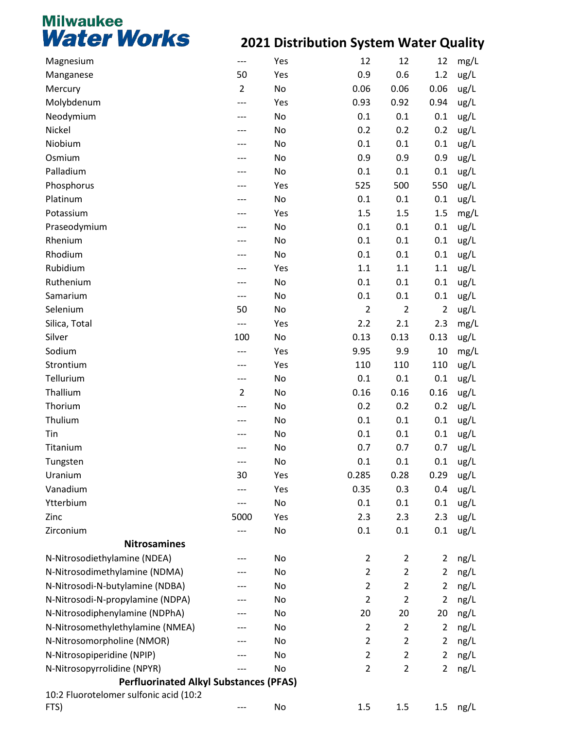| Magnesium                                     | $---$          | Yes | 12             | 12             | 12             | mg/L |
|-----------------------------------------------|----------------|-----|----------------|----------------|----------------|------|
| Manganese                                     | 50             | Yes | 0.9            | 0.6            | 1.2            | ug/L |
| Mercury                                       | $\overline{2}$ | No  | 0.06           | 0.06           | 0.06           | ug/L |
| Molybdenum                                    |                | Yes | 0.93           | 0.92           | 0.94           | ug/L |
| Neodymium                                     |                | No  | 0.1            | 0.1            | 0.1            | ug/L |
| Nickel                                        |                | No  | 0.2            | 0.2            | 0.2            | ug/L |
| Niobium                                       |                | No  | 0.1            | 0.1            | 0.1            | ug/L |
| Osmium                                        |                | No  | 0.9            | 0.9            | 0.9            | ug/L |
| Palladium                                     |                | No  | 0.1            | 0.1            | 0.1            | ug/L |
| Phosphorus                                    |                | Yes | 525            | 500            | 550            | ug/L |
| Platinum                                      |                | No  | 0.1            | 0.1            | 0.1            | ug/L |
| Potassium                                     |                | Yes | 1.5            | 1.5            | 1.5            | mg/L |
| Praseodymium                                  |                | No  | 0.1            | 0.1            | 0.1            | ug/L |
| Rhenium                                       |                | No  | 0.1            | 0.1            | 0.1            | ug/L |
| Rhodium                                       |                | No  | 0.1            | 0.1            | 0.1            | ug/L |
| Rubidium                                      |                | Yes | 1.1            | 1.1            | 1.1            | ug/L |
| Ruthenium                                     |                | No  | 0.1            | 0.1            | 0.1            | ug/L |
| Samarium                                      |                | No  | 0.1            | 0.1            | 0.1            | ug/L |
| Selenium                                      | 50             | No  | $\overline{2}$ | $\overline{2}$ | $\overline{2}$ | ug/L |
| Silica, Total                                 | $---$          | Yes | 2.2            | 2.1            | 2.3            | mg/L |
| Silver                                        | 100            | No  | 0.13           | 0.13           | 0.13           | ug/L |
| Sodium                                        |                | Yes | 9.95           | 9.9            | 10             | mg/L |
| Strontium                                     |                | Yes | 110            | 110            | 110            | ug/L |
| Tellurium                                     | ---            | No  | 0.1            | 0.1            | 0.1            | ug/L |
| Thallium                                      | $\overline{2}$ | No  | 0.16           | 0.16           | 0.16           | ug/L |
| Thorium                                       |                | No  | 0.2            | 0.2            | 0.2            | ug/L |
| Thulium                                       |                | No  | 0.1            | 0.1            | 0.1            | ug/L |
| Tin                                           |                | No  | 0.1            | 0.1            | 0.1            | ug/L |
| Titanium                                      |                | No  | 0.7            | 0.7            | 0.7            | ug/L |
| Tungsten                                      |                | No  | 0.1            | 0.1            | 0.1            | ug/L |
| Uranium                                       | 30             | Yes | 0.285          | 0.28           | 0.29           | ug/L |
| Vanadium                                      | ---            | Yes | 0.35           | 0.3            | 0.4            | ug/L |
| Ytterbium                                     | ---            | No  | 0.1            | 0.1            | 0.1            | ug/L |
| Zinc                                          | 5000           | Yes | 2.3            | 2.3            | 2.3            | ug/L |
| Zirconium                                     |                | No  | 0.1            | 0.1            | 0.1            | ug/L |
| <b>Nitrosamines</b>                           |                |     |                |                |                |      |
| N-Nitrosodiethylamine (NDEA)                  |                | No  | $\overline{2}$ | $\overline{2}$ | 2              | ng/L |
| N-Nitrosodimethylamine (NDMA)                 |                | No  | $\overline{2}$ | $\overline{c}$ | $\overline{2}$ | ng/L |
| N-Nitrosodi-N-butylamine (NDBA)               |                | No  | $\overline{2}$ | $\overline{2}$ | $\overline{2}$ | ng/L |
| N-Nitrosodi-N-propylamine (NDPA)              |                | No  | $\overline{2}$ | $\overline{2}$ | $\overline{2}$ | ng/L |
| N-Nitrosodiphenylamine (NDPhA)                |                | No  | 20             | 20             | 20             | ng/L |
| N-Nitrosomethylethylamine (NMEA)              |                | No  | $\overline{2}$ | $\overline{2}$ | $\overline{2}$ | ng/L |
| N-Nitrosomorpholine (NMOR)                    |                | No  | $\overline{2}$ | $\overline{2}$ | 2              | ng/L |
| N-Nitrosopiperidine (NPIP)                    |                | No  | $\overline{2}$ | $\overline{2}$ | $\overline{2}$ | ng/L |
| N-Nitrosopyrrolidine (NPYR)                   |                | No  | $\overline{2}$ | $\overline{2}$ | $\overline{2}$ | ng/L |
| <b>Perfluorinated Alkyl Substances (PFAS)</b> |                |     |                |                |                |      |
| 10:2 Fluorotelomer sulfonic acid (10:2        |                |     |                |                |                |      |
| FTS)                                          |                | No  | 1.5            | 1.5            | $1.5\,$        | ng/L |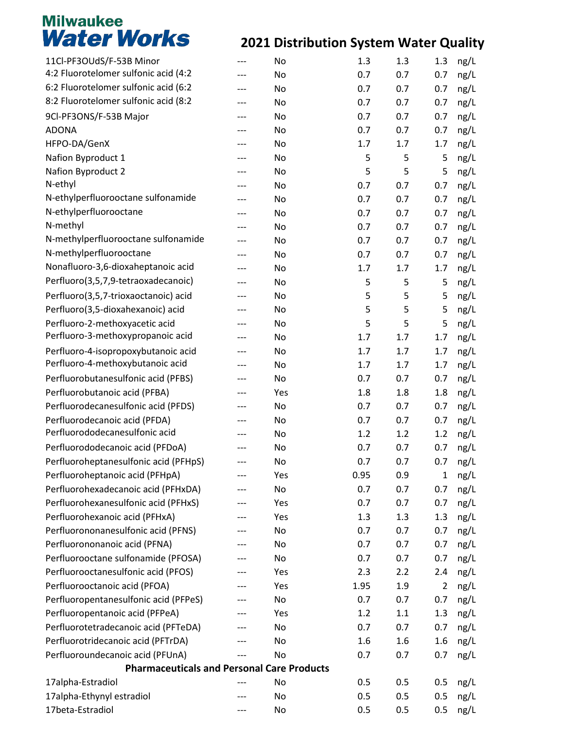| 11Cl-PF3OUdS/F-53B Minor                          | --- | No  | 1.3  | 1.3 | 1.3            | ng/L |
|---------------------------------------------------|-----|-----|------|-----|----------------|------|
| 4:2 Fluorotelomer sulfonic acid (4:2              |     | No  | 0.7  | 0.7 | 0.7            | ng/L |
| 6:2 Fluorotelomer sulfonic acid (6:2              | --- | No  | 0.7  | 0.7 | 0.7            | ng/L |
| 8:2 Fluorotelomer sulfonic acid (8:2              | --- | No  | 0.7  | 0.7 | 0.7            | ng/L |
| 9Cl-PF3ONS/F-53B Major                            |     | No  | 0.7  | 0.7 | 0.7            | ng/L |
| <b>ADONA</b>                                      |     | No  | 0.7  | 0.7 | 0.7            | ng/L |
| HFPO-DA/GenX                                      | --- | No  | 1.7  | 1.7 | 1.7            | ng/L |
| Nafion Byproduct 1                                |     | No  | 5    | 5   | 5              | ng/L |
| Nafion Byproduct 2                                |     | No  | 5    | 5   | 5              | ng/L |
| N-ethyl                                           |     | No  | 0.7  | 0.7 | 0.7            | ng/L |
| N-ethylperfluorooctane sulfonamide                | --- | No  | 0.7  | 0.7 | 0.7            | ng/L |
| N-ethylperfluorooctane                            | --- | No  | 0.7  | 0.7 | 0.7            | ng/L |
| N-methyl                                          |     | No  | 0.7  | 0.7 | 0.7            | ng/L |
| N-methylperfluorooctane sulfonamide               | --- | No  | 0.7  | 0.7 | 0.7            | ng/L |
| N-methylperfluorooctane                           | --- | No  | 0.7  | 0.7 | 0.7            | ng/L |
| Nonafluoro-3,6-dioxaheptanoic acid                | --- | No  | 1.7  | 1.7 | 1.7            | ng/L |
| Perfluoro(3,5,7,9-tetraoxadecanoic)               | --- | No  | 5    | 5   | 5              | ng/L |
| Perfluoro(3,5,7-trioxaoctanoic) acid              | --- | No  | 5    | 5   | 5              | ng/L |
| Perfluoro(3,5-dioxahexanoic) acid                 | --- | No  | 5    | 5   | 5              | ng/L |
| Perfluoro-2-methoxyacetic acid                    | --- | No  | 5    | 5   | 5              | ng/L |
| Perfluoro-3-methoxypropanoic acid                 |     | No  | 1.7  | 1.7 | 1.7            | ng/L |
| Perfluoro-4-isopropoxybutanoic acid               | --- | No  | 1.7  | 1.7 | 1.7            | ng/L |
| Perfluoro-4-methoxybutanoic acid                  | --- | No  | 1.7  | 1.7 | 1.7            | ng/L |
| Perfluorobutanesulfonic acid (PFBS)               | --- | No  | 0.7  | 0.7 | 0.7            | ng/L |
| Perfluorobutanoic acid (PFBA)                     |     | Yes | 1.8  | 1.8 | 1.8            | ng/L |
| Perfluorodecanesulfonic acid (PFDS)               | --- | No  | 0.7  | 0.7 | 0.7            | ng/L |
| Perfluorodecanoic acid (PFDA)                     | --- | No  | 0.7  | 0.7 | 0.7            | ng/L |
| Perfluorododecanesulfonic acid                    | --- | No  | 1.2  | 1.2 | 1.2            | ng/L |
| Perfluorododecanoic acid (PFDoA)                  |     | No  | 0.7  | 0.7 | 0.7            | ng/L |
| Perfluoroheptanesulfonic acid (PFHpS)             | --- | No  | 0.7  | 0.7 | 0.7            | ng/L |
| Perfluoroheptanoic acid (PFHpA)                   |     | Yes | 0.95 | 0.9 | $\mathbf 1$    | ng/L |
| Perfluorohexadecanoic acid (PFHxDA)               |     | No  | 0.7  | 0.7 | 0.7            | ng/L |
| Perfluorohexanesulfonic acid (PFHxS)              |     | Yes | 0.7  | 0.7 | 0.7            | ng/L |
| Perfluorohexanoic acid (PFHxA)                    |     | Yes | 1.3  | 1.3 | 1.3            | ng/L |
| Perfluorononanesulfonic acid (PFNS)               |     | No  | 0.7  | 0.7 | 0.7            | ng/L |
| Perfluorononanoic acid (PFNA)                     |     | No  | 0.7  | 0.7 | 0.7            | ng/L |
| Perfluorooctane sulfonamide (PFOSA)               | --- | No  | 0.7  | 0.7 | 0.7            | ng/L |
| Perfluorooctanesulfonic acid (PFOS)               |     | Yes | 2.3  | 2.2 | 2.4            | ng/L |
| Perfluorooctanoic acid (PFOA)                     |     | Yes | 1.95 | 1.9 | $\overline{2}$ | ng/L |
| Perfluoropentanesulfonic acid (PFPeS)             |     | No  | 0.7  | 0.7 | 0.7            | ng/L |
| Perfluoropentanoic acid (PFPeA)                   | --- | Yes | 1.2  | 1.1 | 1.3            | ng/L |
| Perfluorotetradecanoic acid (PFTeDA)              |     | No  | 0.7  | 0.7 | 0.7            | ng/L |
| Perfluorotridecanoic acid (PFTrDA)                |     | No  | 1.6  | 1.6 | 1.6            | ng/L |
| Perfluoroundecanoic acid (PFUnA)                  |     | No  | 0.7  | 0.7 | 0.7            | ng/L |
| <b>Pharmaceuticals and Personal Care Products</b> |     |     |      |     |                |      |
| 17alpha-Estradiol                                 |     | No  | 0.5  | 0.5 | 0.5            | ng/L |
| 17alpha-Ethynyl estradiol                         |     | No  | 0.5  | 0.5 | 0.5            | ng/L |
| 17beta-Estradiol                                  |     | No  | 0.5  | 0.5 | 0.5            | ng/L |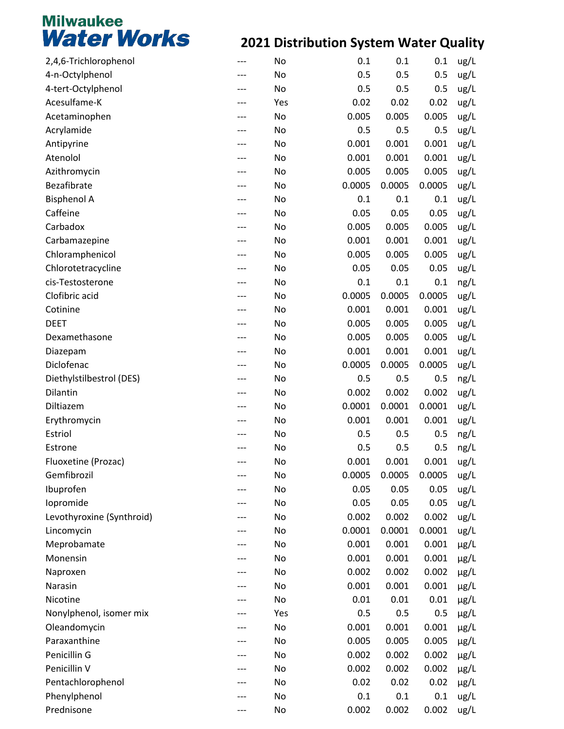| 2,4,6-Trichlorophenol     |     | No  | 0.1    | 0.1    | 0.1    | ug/L      |
|---------------------------|-----|-----|--------|--------|--------|-----------|
| 4-n-Octylphenol           |     | No  | 0.5    | 0.5    | 0.5    | ug/L      |
| 4-tert-Octylphenol        | --- | No  | 0.5    | 0.5    | 0.5    | ug/L      |
| Acesulfame-K              |     | Yes | 0.02   | 0.02   | 0.02   | ug/L      |
| Acetaminophen             |     | No  | 0.005  | 0.005  | 0.005  | ug/L      |
| Acrylamide                |     | No  | 0.5    | 0.5    | 0.5    | ug/L      |
| Antipyrine                | --- | No  | 0.001  | 0.001  | 0.001  | ug/L      |
| Atenolol                  |     | No  | 0.001  | 0.001  | 0.001  | ug/L      |
| Azithromycin              |     | No  | 0.005  | 0.005  | 0.005  | ug/L      |
| Bezafibrate               |     | No  | 0.0005 | 0.0005 | 0.0005 | ug/L      |
| <b>Bisphenol A</b>        | --- | No  | 0.1    | 0.1    | 0.1    | ug/L      |
| Caffeine                  |     | No  | 0.05   | 0.05   | 0.05   | ug/L      |
| Carbadox                  |     | No  | 0.005  | 0.005  | 0.005  | ug/L      |
| Carbamazepine             |     | No  | 0.001  | 0.001  | 0.001  | ug/L      |
| Chloramphenicol           | --- | No  | 0.005  | 0.005  | 0.005  | ug/L      |
| Chlorotetracycline        |     | No  | 0.05   | 0.05   | 0.05   | ug/L      |
| cis-Testosterone          |     | No  | 0.1    | 0.1    | 0.1    | ng/L      |
| Clofibric acid            |     | No  | 0.0005 | 0.0005 | 0.0005 | ug/L      |
| Cotinine                  | --- | No  | 0.001  | 0.001  | 0.001  | ug/L      |
| <b>DEET</b>               |     | No  | 0.005  | 0.005  | 0.005  | ug/L      |
| Dexamethasone             |     | No  | 0.005  | 0.005  | 0.005  | ug/L      |
| Diazepam                  |     | No  | 0.001  | 0.001  | 0.001  | ug/L      |
| Diclofenac                | --- | No  | 0.0005 | 0.0005 | 0.0005 | ug/L      |
| Diethylstilbestrol (DES)  |     | No  | 0.5    | 0.5    | 0.5    | ng/L      |
| Dilantin                  | --- | No  | 0.002  | 0.002  | 0.002  | ug/L      |
| Diltiazem                 |     | No  | 0.0001 | 0.0001 | 0.0001 |           |
|                           |     |     |        |        |        | ug/L      |
| Erythromycin              |     | No  | 0.001  | 0.001  | 0.001  | ug/L      |
| Estriol                   |     | No  | 0.5    | 0.5    | 0.5    | ng/L      |
| Estrone                   |     | No  | 0.5    | 0.5    | 0.5    | ng/L      |
| Fluoxetine (Prozac)       |     | No  | 0.001  | 0.001  | 0.001  | ug/L      |
| Gemfibrozil               |     | No  | 0.0005 | 0.0005 | 0.0005 | ug/L      |
| Ibuprofen                 |     | No  | 0.05   | 0.05   | 0.05   | ug/L      |
| lopromide                 |     | No  | 0.05   | 0.05   | 0.05   | ug/L      |
| Levothyroxine (Synthroid) |     | No  | 0.002  | 0.002  | 0.002  | ug/L      |
| Lincomycin                |     | No  | 0.0001 | 0.0001 | 0.0001 | ug/L      |
| Meprobamate               |     | No  | 0.001  | 0.001  | 0.001  | $\mu$ g/L |
| Monensin                  | --- | No  | 0.001  | 0.001  | 0.001  | $\mu$ g/L |
| Naproxen                  |     | No  | 0.002  | 0.002  | 0.002  | $\mu$ g/L |
| Narasin                   |     | No  | 0.001  | 0.001  | 0.001  | $\mu$ g/L |
| Nicotine                  |     | No  | 0.01   | 0.01   | 0.01   | $\mu$ g/L |
| Nonylphenol, isomer mix   | --- | Yes | 0.5    | 0.5    | 0.5    | $\mu$ g/L |
| Oleandomycin              |     | No  | 0.001  | 0.001  | 0.001  | $\mu$ g/L |
| Paraxanthine              |     | No  | 0.005  | 0.005  | 0.005  | $\mu$ g/L |
| Penicillin G              |     | No  | 0.002  | 0.002  | 0.002  | $\mu$ g/L |
| Penicillin V              | --- | No  | 0.002  | 0.002  | 0.002  | $\mu$ g/L |
| Pentachlorophenol         |     | No  | 0.02   | 0.02   | 0.02   | $\mu$ g/L |
| Phenylphenol              |     | No  | 0.1    | 0.1    | 0.1    | ug/L      |
| Prednisone                |     | No  | 0.002  | 0.002  | 0.002  | ug/L      |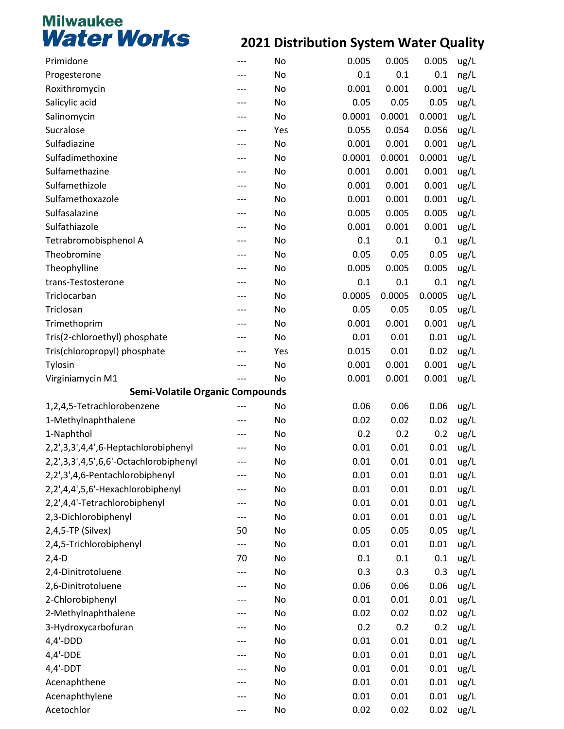| Primidone                              | ---       | No  | 0.005  | 0.005  | 0.005       | ug/L |  |  |  |
|----------------------------------------|-----------|-----|--------|--------|-------------|------|--|--|--|
| Progesterone                           |           | No  | 0.1    | 0.1    | 0.1         | ng/L |  |  |  |
| Roxithromycin                          | ---       | No  | 0.001  | 0.001  | 0.001       | ug/L |  |  |  |
| Salicylic acid                         |           | No  | 0.05   | 0.05   | 0.05        | ug/L |  |  |  |
| Salinomycin                            |           | No  | 0.0001 | 0.0001 | 0.0001      | ug/L |  |  |  |
| Sucralose                              | ---       | Yes | 0.055  | 0.054  | 0.056       | ug/L |  |  |  |
| Sulfadiazine                           | ---       | No  | 0.001  | 0.001  | 0.001       | ug/L |  |  |  |
| Sulfadimethoxine                       |           | No  | 0.0001 | 0.0001 | 0.0001      | ug/L |  |  |  |
| Sulfamethazine                         |           | No  | 0.001  | 0.001  | 0.001       | ug/L |  |  |  |
| Sulfamethizole                         | ---       | No  | 0.001  | 0.001  | 0.001       | ug/L |  |  |  |
| Sulfamethoxazole                       | ---       | No  | 0.001  | 0.001  | 0.001       | ug/L |  |  |  |
| Sulfasalazine                          |           | No  | 0.005  | 0.005  | 0.005       | ug/L |  |  |  |
| Sulfathiazole                          |           | No  | 0.001  | 0.001  | 0.001       | ug/L |  |  |  |
| Tetrabromobisphenol A                  | ---       | No  | 0.1    | 0.1    | 0.1         | ug/L |  |  |  |
| Theobromine                            | ---       | No  | 0.05   | 0.05   | 0.05        | ug/L |  |  |  |
| Theophylline                           |           | No  | 0.005  | 0.005  | 0.005       | ug/L |  |  |  |
| trans-Testosterone                     | ---       | No  | 0.1    | 0.1    | 0.1         | ng/L |  |  |  |
| Triclocarban                           | ---       | No  | 0.0005 | 0.0005 | 0.0005      | ug/L |  |  |  |
| Triclosan                              | ---       | No  | 0.05   | 0.05   | 0.05        | ug/L |  |  |  |
| Trimethoprim                           |           | No  | 0.001  | 0.001  | 0.001       | ug/L |  |  |  |
| Tris(2-chloroethyl) phosphate          |           | No  | 0.01   | 0.01   | 0.01        | ug/L |  |  |  |
| Tris(chloropropyl) phosphate           |           | Yes | 0.015  | 0.01   | 0.02        | ug/L |  |  |  |
| Tylosin                                | ---       | No  | 0.001  | 0.001  | 0.001       | ug/L |  |  |  |
| Virginiamycin M1                       |           | No  | 0.001  | 0.001  | 0.001       | ug/L |  |  |  |
| <b>Semi-Volatile Organic Compounds</b> |           |     |        |        |             |      |  |  |  |
| 1,2,4,5-Tetrachlorobenzene             |           | No  | 0.06   | 0.06   | 0.06        | ug/L |  |  |  |
| 1-Methylnaphthalene                    | ---       | No  | 0.02   | 0.02   | 0.02        | ug/L |  |  |  |
| 1-Naphthol                             |           | No  | 0.2    | 0.2    | 0.2         | ug/L |  |  |  |
| 2,2',3,3',4,4',6-Heptachlorobiphenyl   |           | No  | 0.01   | 0.01   | 0.01        | ug/L |  |  |  |
| 2,2',3,3',4,5',6,6'-Octachlorobiphenyl | ---       | No  | 0.01   | 0.01   | 0.01        | ug/L |  |  |  |
| 2,2',3',4,6-Pentachlorobiphenyl        |           | No  | 0.01   | 0.01   | 0.01        | ug/L |  |  |  |
| 2,2',4,4',5,6'-Hexachlorobiphenyl      |           | No  | 0.01   | 0.01   | 0.01        | ug/L |  |  |  |
| 2,2',4,4'-Tetrachlorobiphenyl          | ---       | No  | 0.01   | 0.01   | 0.01        | ug/L |  |  |  |
| 2,3-Dichlorobiphenyl                   | ---       | No  | 0.01   | 0.01   | 0.01        |      |  |  |  |
| 2,4,5-TP (Silvex)                      | 50        | No  | 0.05   | 0.05   | 0.05        | ug/L |  |  |  |
| 2,4,5-Trichlorobiphenyl                |           | No  | 0.01   | 0.01   | 0.01        | ug/L |  |  |  |
|                                        | ---<br>70 |     | 0.1    | 0.1    | 0.1         | ug/L |  |  |  |
| $2,4-D$<br>2,4-Dinitrotoluene          |           | No  |        |        |             | ug/L |  |  |  |
|                                        | ---       | No  | 0.3    | 0.3    | 0.3<br>0.06 | ug/L |  |  |  |
| 2,6-Dinitrotoluene                     |           | No  | 0.06   | 0.06   |             | ug/L |  |  |  |
| 2-Chlorobiphenyl                       | ---       | No  | 0.01   | 0.01   | 0.01        | ug/L |  |  |  |
| 2-Methylnaphthalene                    | ---       | No  | 0.02   | 0.02   | 0.02        | ug/L |  |  |  |
| 3-Hydroxycarbofuran                    |           | No  | 0.2    | 0.2    | 0.2         | ug/L |  |  |  |
| $4,4'-DDD$                             |           | No  | 0.01   | 0.01   | 0.01        | ug/L |  |  |  |
| $4,4'$ -DDE                            |           | No  | 0.01   | 0.01   | 0.01        | ug/L |  |  |  |
| $4,4'$ -DDT                            |           | No  | 0.01   | 0.01   | 0.01        | ug/L |  |  |  |
| Acenaphthene                           |           | No  | 0.01   | 0.01   | 0.01        | ug/L |  |  |  |
| Acenaphthylene                         |           | No  | 0.01   | 0.01   | 0.01        | ug/L |  |  |  |
| Acetochlor                             | ---       | No  | 0.02   | 0.02   | 0.02        | ug/L |  |  |  |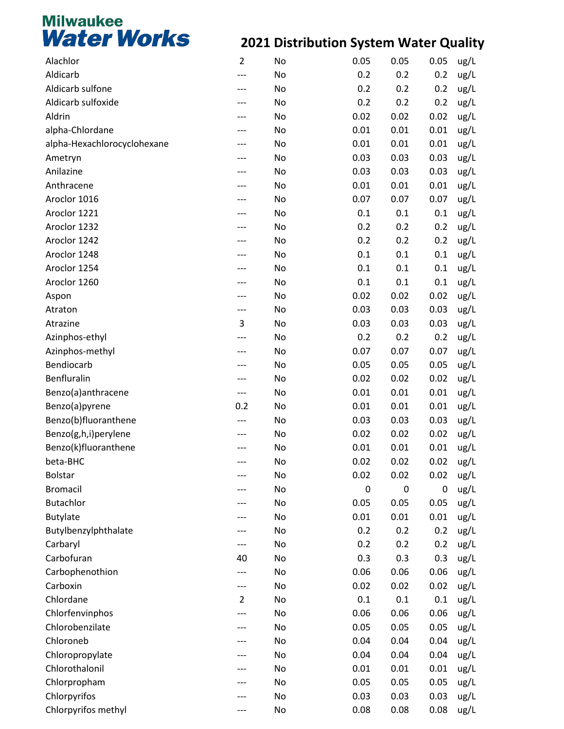| Alachlor                    | $\overline{2}$ | No | 0.05 | 0.05        | 0.05        | ug/L |
|-----------------------------|----------------|----|------|-------------|-------------|------|
| Aldicarb                    |                | No | 0.2  | 0.2         | 0.2         | ug/L |
| Aldicarb sulfone            |                | No | 0.2  | 0.2         | 0.2         | ug/L |
| Aldicarb sulfoxide          |                | No | 0.2  | 0.2         | 0.2         | ug/L |
| Aldrin                      |                | No | 0.02 | 0.02        | 0.02        | ug/L |
| alpha-Chlordane             |                | No | 0.01 | 0.01        | 0.01        | ug/L |
| alpha-Hexachlorocyclohexane |                | No | 0.01 | 0.01        | 0.01        | ug/L |
| Ametryn                     |                | No | 0.03 | 0.03        | 0.03        | ug/L |
| Anilazine                   |                | No | 0.03 | 0.03        | 0.03        | ug/L |
| Anthracene                  |                | No | 0.01 | 0.01        | 0.01        | ug/L |
| Aroclor 1016                |                | No | 0.07 | 0.07        | 0.07        | ug/L |
| Aroclor 1221                |                | No | 0.1  | 0.1         | 0.1         | ug/L |
| Aroclor 1232                |                | No | 0.2  | 0.2         | 0.2         | ug/L |
| Aroclor 1242                |                | No | 0.2  | 0.2         | 0.2         | ug/L |
| Aroclor 1248                |                | No | 0.1  | 0.1         | 0.1         | ug/L |
| Aroclor 1254                |                | No | 0.1  | 0.1         | 0.1         | ug/L |
| Aroclor 1260                |                | No | 0.1  | 0.1         | 0.1         | ug/L |
| Aspon                       |                | No | 0.02 | 0.02        | 0.02        | ug/L |
| Atraton                     | ---            | No | 0.03 | 0.03        | 0.03        | ug/L |
| Atrazine                    | 3              | No | 0.03 | 0.03        | 0.03        | ug/L |
| Azinphos-ethyl              |                | No | 0.2  | 0.2         | 0.2         | ug/L |
| Azinphos-methyl             |                | No | 0.07 | 0.07        | 0.07        | ug/L |
| Bendiocarb                  |                | No | 0.05 | 0.05        | 0.05        | ug/L |
| Benfluralin                 |                | No | 0.02 | 0.02        | 0.02        | ug/L |
| Benzo(a)anthracene          | ---            | No | 0.01 | 0.01        | 0.01        | ug/L |
| Benzo(a)pyrene              | 0.2            | No | 0.01 | 0.01        | 0.01        | ug/L |
| Benzo(b)fluoranthene        |                | No | 0.03 | 0.03        | 0.03        | ug/L |
| Benzo(g,h,i)perylene        |                | No | 0.02 | 0.02        | 0.02        | ug/L |
| Benzo(k)fluoranthene        |                | No | 0.01 | 0.01        | 0.01        | ug/L |
| beta-BHC                    |                | No | 0.02 | 0.02        | 0.02        | ug/L |
| <b>Bolstar</b>              |                | No | 0.02 | 0.02        | 0.02        | ug/L |
| <b>Bromacil</b>             |                | No | 0    | $\mathbf 0$ | $\mathbf 0$ | ug/L |
| <b>Butachlor</b>            |                | No | 0.05 | 0.05        | 0.05        | ug/L |
| <b>Butylate</b>             |                | No | 0.01 | 0.01        | 0.01        | ug/L |
| Butylbenzylphthalate        |                | No | 0.2  | 0.2         | 0.2         | ug/L |
| Carbaryl                    | ---            | No | 0.2  | 0.2         | 0.2         | ug/L |
| Carbofuran                  | 40             | No | 0.3  | 0.3         | 0.3         | ug/L |
| Carbophenothion             |                | No | 0.06 | 0.06        | 0.06        | ug/L |
| Carboxin                    | ---            | No | 0.02 | 0.02        | 0.02        | ug/L |
| Chlordane                   | $\overline{2}$ | No | 0.1  | 0.1         | 0.1         | ug/L |
| Chlorfenvinphos             |                | No | 0.06 | 0.06        | 0.06        | ug/L |
| Chlorobenzilate             |                | No | 0.05 | 0.05        | 0.05        | ug/L |
| Chloroneb                   |                | No | 0.04 | 0.04        | 0.04        | ug/L |
| Chloropropylate             |                | No | 0.04 | 0.04        | 0.04        | ug/L |
| Chlorothalonil              |                | No | 0.01 | 0.01        | 0.01        | ug/L |
| Chlorpropham                |                | No | 0.05 | 0.05        | 0.05        | ug/L |
| Chlorpyrifos                |                | No | 0.03 | 0.03        | 0.03        | ug/L |
| Chlorpyrifos methyl         |                | No | 0.08 | 0.08        | 0.08        | ug/L |
|                             |                |    |      |             |             |      |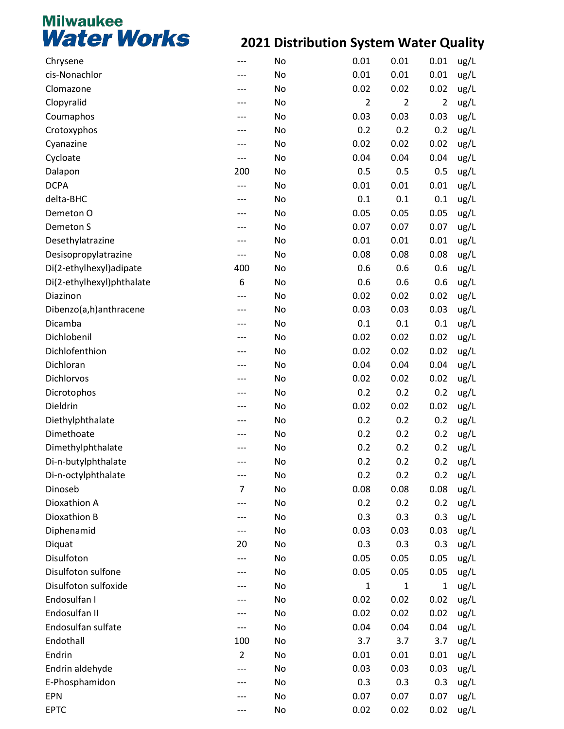| Chrysene                  |                | No | 0.01           | 0.01           | 0.01           | ug/L |
|---------------------------|----------------|----|----------------|----------------|----------------|------|
| cis-Nonachlor             |                | No | 0.01           | 0.01           | 0.01           | ug/L |
| Clomazone                 |                | No | 0.02           | 0.02           | 0.02           | ug/L |
| Clopyralid                |                | No | $\overline{2}$ | $\overline{2}$ | $\overline{2}$ | ug/L |
| Coumaphos                 |                | No | 0.03           | 0.03           | 0.03           | ug/L |
| Crotoxyphos               |                | No | 0.2            | 0.2            | 0.2            | ug/L |
| Cyanazine                 | ---            | No | 0.02           | 0.02           | 0.02           | ug/L |
| Cycloate                  | ---            | No | 0.04           | 0.04           | 0.04           | ug/L |
| Dalapon                   | 200            | No | 0.5            | 0.5            | 0.5            | ug/L |
| <b>DCPA</b>               | ---            | No | 0.01           | 0.01           | 0.01           | ug/L |
| delta-BHC                 | ---            | No | 0.1            | 0.1            | 0.1            | ug/L |
| Demeton O                 |                | No | 0.05           | 0.05           | 0.05           | ug/L |
| Demeton S                 |                | No | 0.07           | 0.07           | 0.07           | ug/L |
| Desethylatrazine          |                | No | 0.01           | 0.01           | 0.01           | ug/L |
| Desisopropylatrazine      | ---            | No | 0.08           | 0.08           | 0.08           | ug/L |
| Di(2-ethylhexyl)adipate   | 400            | No | 0.6            | 0.6            | 0.6            | ug/L |
| Di(2-ethylhexyl)phthalate | 6              | No | 0.6            | 0.6            | 0.6            | ug/L |
| Diazinon                  | ---            | No | 0.02           | 0.02           | 0.02           | ug/L |
| Dibenzo(a,h)anthracene    | ---            | No | 0.03           | 0.03           | 0.03           | ug/L |
| Dicamba                   |                | No | 0.1            | 0.1            | 0.1            | ug/L |
| Dichlobenil               |                | No | 0.02           | 0.02           | 0.02           | ug/L |
| Dichlofenthion            |                | No | 0.02           | 0.02           | 0.02           | ug/L |
| Dichloran                 |                | No | 0.04           | 0.04           | 0.04           | ug/L |
| Dichlorvos                |                | No | 0.02           | 0.02           | 0.02           | ug/L |
| Dicrotophos               |                | No | 0.2            | 0.2            | 0.2            | ug/L |
| Dieldrin                  |                | No | 0.02           | 0.02           | 0.02           | ug/L |
| Diethylphthalate          |                | No | 0.2            | 0.2            | 0.2            | ug/L |
| Dimethoate                |                | No | 0.2            | 0.2            | 0.2            | ug/L |
| Dimethylphthalate         |                | No | 0.2            | 0.2            | 0.2            | ug/L |
| Di-n-butylphthalate       |                | No | 0.2            | 0.2            | 0.2            | ug/L |
| Di-n-octylphthalate       | ---            | No | 0.2            | 0.2            | 0.2            | ug/L |
| Dinoseb                   | 7              | No | 0.08           | 0.08           | 0.08           | ug/L |
| Dioxathion A              |                | No | 0.2            | 0.2            | 0.2            | ug/L |
| Dioxathion B              |                | No | 0.3            | 0.3            | 0.3            | ug/L |
| Diphenamid                |                | No | 0.03           | 0.03           | 0.03           | ug/L |
| Diquat                    | 20             | No | 0.3            | 0.3            | 0.3            | ug/L |
| Disulfoton                |                | No | 0.05           | 0.05           | 0.05           | ug/L |
| Disulfoton sulfone        |                | No | 0.05           | 0.05           | 0.05           | ug/L |
| Disulfoton sulfoxide      |                | No | $\mathbf{1}$   | 1              | 1              | ug/L |
| Endosulfan I              |                | No | 0.02           | 0.02           | 0.02           | ug/L |
| Endosulfan II             |                | No | 0.02           | 0.02           | 0.02           | ug/L |
| Endosulfan sulfate        |                | No | 0.04           | 0.04           | 0.04           | ug/L |
| Endothall                 | 100            | No | 3.7            | 3.7            | 3.7            | ug/L |
| Endrin                    | $\overline{2}$ | No | 0.01           | 0.01           | 0.01           | ug/L |
| Endrin aldehyde           |                | No | 0.03           | 0.03           | 0.03           | ug/L |
| E-Phosphamidon            |                | No | 0.3            | 0.3            | 0.3            | ug/L |
| <b>EPN</b>                |                | No | 0.07           | 0.07           | 0.07           | ug/L |
| <b>EPTC</b>               |                | No | 0.02           | 0.02           | 0.02           | ug/L |
|                           |                |    |                |                |                |      |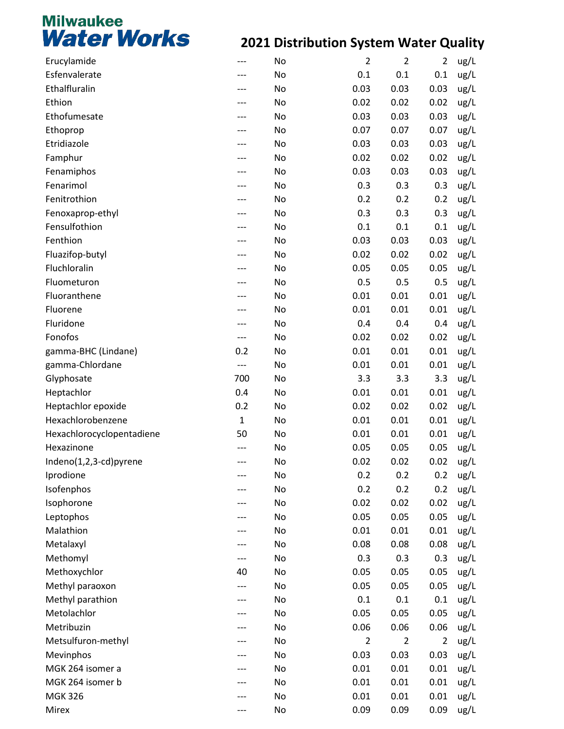| Esfenvalerate<br>0.1<br>0.1<br>0.1<br>ug/L<br>No<br>Ethalfluralin<br>0.03<br>0.03<br>0.03<br>ug/L<br>No<br>Ethion<br>0.02<br>0.02<br>ug/L<br>No<br>0.02<br>Ethofumesate<br>0.03<br>0.03<br>0.03<br>ug/L<br>No<br>0.07<br>0.07<br>0.07<br>ug/L<br>Ethoprop<br>No<br>Etridiazole<br>0.03<br>0.03<br>0.03<br>No<br>ug/L<br>0.02<br>ug/L<br>Famphur<br>No<br>0.02<br>0.02<br>0.03<br>0.03<br>0.03<br>Fenamiphos<br>No<br>ug/L<br>Fenarimol<br>0.3<br>0.3<br>0.3<br>ug/L<br>No<br>Fenitrothion<br>0.2<br>0.2<br>0.2<br>No<br>ug/L<br>ug/L<br>Fenoxaprop-ethyl<br>No<br>0.3<br>0.3<br>0.3<br>Fensulfothion<br>0.1<br>0.1<br>0.1<br>No<br>ug/L<br>Fenthion<br>0.03<br>0.03<br>0.03<br>ug/L<br>No<br>Fluazifop-butyl<br>0.02<br>0.02<br>0.02<br>No<br>ug/L<br>Fluchloralin<br>0.05<br>0.05<br>ug/L<br>No<br>0.05<br>Fluometuron<br>0.5<br>0.5<br>0.5<br>No<br>ug/L<br>Fluoranthene<br>0.01<br>0.01<br>ug/L<br>No<br>0.01<br>Fluorene<br>0.01<br>0.01<br>0.01<br>No<br>ug/L<br>Fluridone<br>0.4<br>0.4<br>0.4<br>No<br>ug/L<br>Fonofos<br>0.02<br>0.02<br>0.02<br>No<br>ug/L<br>---<br>0.2<br>0.01<br>0.01<br>0.01<br>ug/L<br>gamma-BHC (Lindane)<br>No<br>gamma-Chlordane<br>0.01<br>0.01<br>0.01<br>No<br>ug/L<br>$---$<br>700<br>3.3<br>3.3<br>3.3<br>Glyphosate<br>No<br>ug/L<br>Heptachlor<br>0.4<br>0.01<br>0.01<br>No<br>0.01<br>ug/L<br>Heptachlor epoxide<br>0.2<br>0.02<br>0.02<br>0.02<br>ug/L<br>No<br>Hexachlorobenzene<br>$\mathbf{1}$<br>0.01<br>0.01<br>0.01<br>No<br>ug/L<br>Hexachlorocyclopentadiene<br>50<br>No<br>0.01<br>0.01<br>0.01<br>ug/L<br>Hexazinone<br>0.05<br>0.05<br>0.05<br>No<br>ug/L<br>Indeno(1,2,3-cd)pyrene<br>0.02<br>0.02<br>0.02<br>No<br>ug/L<br>---<br>No<br>0.2<br>0.2<br>Iprodione<br>0.2<br>ug/L<br>0.2<br>Isofenphos<br>0.2<br>0.2<br>ug/L<br>No<br>Isophorone<br>0.02<br>0.02<br>0.02<br>ug/L<br>No<br>0.05<br>0.05<br>0.05<br>ug/L<br>Leptophos<br>No<br>Malathion<br>0.01<br>0.01<br>0.01<br>ug/L<br>No<br>Metalaxyl<br>0.08<br>0.08<br>0.08<br>ug/L<br>No<br>Methomyl<br>0.3<br>0.3<br>0.3<br>ug/L<br>No<br>---<br>Methoxychlor<br>0.05<br>ug/L<br>40<br>No<br>0.05<br>0.05<br>Methyl paraoxon<br>0.05<br>0.05<br>0.05<br>ug/L<br>No<br>---<br>0.1<br>Methyl parathion<br>0.1<br>0.1<br>ug/L<br>No<br>Metolachlor<br>0.05<br>0.05<br>0.05<br>No<br>ug/L<br>Metribuzin<br>0.06<br>0.06<br>0.06<br>No<br>ug/L<br>Metsulfuron-methyl<br>$\overline{2}$<br>$\overline{2}$<br>ug/L<br>No<br>$\overline{2}$<br>0.03<br>ug/L<br>Mevinphos<br>No<br>0.03<br>0.03<br>MGK 264 isomer a<br>0.01<br>0.01<br>0.01<br>No<br>ug/L<br>MGK 264 isomer b<br>0.01<br>No<br>0.01<br>0.01<br>ug/L<br><b>MGK 326</b><br>0.01<br>0.01<br>0.01<br>ug/L<br>No | Erucylamide | No | $\overline{2}$ | $\overline{2}$ | $\overline{2}$ | ug/L |
|--------------------------------------------------------------------------------------------------------------------------------------------------------------------------------------------------------------------------------------------------------------------------------------------------------------------------------------------------------------------------------------------------------------------------------------------------------------------------------------------------------------------------------------------------------------------------------------------------------------------------------------------------------------------------------------------------------------------------------------------------------------------------------------------------------------------------------------------------------------------------------------------------------------------------------------------------------------------------------------------------------------------------------------------------------------------------------------------------------------------------------------------------------------------------------------------------------------------------------------------------------------------------------------------------------------------------------------------------------------------------------------------------------------------------------------------------------------------------------------------------------------------------------------------------------------------------------------------------------------------------------------------------------------------------------------------------------------------------------------------------------------------------------------------------------------------------------------------------------------------------------------------------------------------------------------------------------------------------------------------------------------------------------------------------------------------------------------------------------------------------------------------------------------------------------------------------------------------------------------------------------------------------------------------------------------------------------------------------------------------------------------------------------------------------------------------------------------------------------------------------------------------------------------------------------------------------------------------------------------------------------------------------------------------------------|-------------|----|----------------|----------------|----------------|------|
|                                                                                                                                                                                                                                                                                                                                                                                                                                                                                                                                                                                                                                                                                                                                                                                                                                                                                                                                                                                                                                                                                                                                                                                                                                                                                                                                                                                                                                                                                                                                                                                                                                                                                                                                                                                                                                                                                                                                                                                                                                                                                                                                                                                                                                                                                                                                                                                                                                                                                                                                                                                                                                                                                |             |    |                |                |                |      |
|                                                                                                                                                                                                                                                                                                                                                                                                                                                                                                                                                                                                                                                                                                                                                                                                                                                                                                                                                                                                                                                                                                                                                                                                                                                                                                                                                                                                                                                                                                                                                                                                                                                                                                                                                                                                                                                                                                                                                                                                                                                                                                                                                                                                                                                                                                                                                                                                                                                                                                                                                                                                                                                                                |             |    |                |                |                |      |
|                                                                                                                                                                                                                                                                                                                                                                                                                                                                                                                                                                                                                                                                                                                                                                                                                                                                                                                                                                                                                                                                                                                                                                                                                                                                                                                                                                                                                                                                                                                                                                                                                                                                                                                                                                                                                                                                                                                                                                                                                                                                                                                                                                                                                                                                                                                                                                                                                                                                                                                                                                                                                                                                                |             |    |                |                |                |      |
|                                                                                                                                                                                                                                                                                                                                                                                                                                                                                                                                                                                                                                                                                                                                                                                                                                                                                                                                                                                                                                                                                                                                                                                                                                                                                                                                                                                                                                                                                                                                                                                                                                                                                                                                                                                                                                                                                                                                                                                                                                                                                                                                                                                                                                                                                                                                                                                                                                                                                                                                                                                                                                                                                |             |    |                |                |                |      |
|                                                                                                                                                                                                                                                                                                                                                                                                                                                                                                                                                                                                                                                                                                                                                                                                                                                                                                                                                                                                                                                                                                                                                                                                                                                                                                                                                                                                                                                                                                                                                                                                                                                                                                                                                                                                                                                                                                                                                                                                                                                                                                                                                                                                                                                                                                                                                                                                                                                                                                                                                                                                                                                                                |             |    |                |                |                |      |
|                                                                                                                                                                                                                                                                                                                                                                                                                                                                                                                                                                                                                                                                                                                                                                                                                                                                                                                                                                                                                                                                                                                                                                                                                                                                                                                                                                                                                                                                                                                                                                                                                                                                                                                                                                                                                                                                                                                                                                                                                                                                                                                                                                                                                                                                                                                                                                                                                                                                                                                                                                                                                                                                                |             |    |                |                |                |      |
|                                                                                                                                                                                                                                                                                                                                                                                                                                                                                                                                                                                                                                                                                                                                                                                                                                                                                                                                                                                                                                                                                                                                                                                                                                                                                                                                                                                                                                                                                                                                                                                                                                                                                                                                                                                                                                                                                                                                                                                                                                                                                                                                                                                                                                                                                                                                                                                                                                                                                                                                                                                                                                                                                |             |    |                |                |                |      |
|                                                                                                                                                                                                                                                                                                                                                                                                                                                                                                                                                                                                                                                                                                                                                                                                                                                                                                                                                                                                                                                                                                                                                                                                                                                                                                                                                                                                                                                                                                                                                                                                                                                                                                                                                                                                                                                                                                                                                                                                                                                                                                                                                                                                                                                                                                                                                                                                                                                                                                                                                                                                                                                                                |             |    |                |                |                |      |
|                                                                                                                                                                                                                                                                                                                                                                                                                                                                                                                                                                                                                                                                                                                                                                                                                                                                                                                                                                                                                                                                                                                                                                                                                                                                                                                                                                                                                                                                                                                                                                                                                                                                                                                                                                                                                                                                                                                                                                                                                                                                                                                                                                                                                                                                                                                                                                                                                                                                                                                                                                                                                                                                                |             |    |                |                |                |      |
|                                                                                                                                                                                                                                                                                                                                                                                                                                                                                                                                                                                                                                                                                                                                                                                                                                                                                                                                                                                                                                                                                                                                                                                                                                                                                                                                                                                                                                                                                                                                                                                                                                                                                                                                                                                                                                                                                                                                                                                                                                                                                                                                                                                                                                                                                                                                                                                                                                                                                                                                                                                                                                                                                |             |    |                |                |                |      |
|                                                                                                                                                                                                                                                                                                                                                                                                                                                                                                                                                                                                                                                                                                                                                                                                                                                                                                                                                                                                                                                                                                                                                                                                                                                                                                                                                                                                                                                                                                                                                                                                                                                                                                                                                                                                                                                                                                                                                                                                                                                                                                                                                                                                                                                                                                                                                                                                                                                                                                                                                                                                                                                                                |             |    |                |                |                |      |
|                                                                                                                                                                                                                                                                                                                                                                                                                                                                                                                                                                                                                                                                                                                                                                                                                                                                                                                                                                                                                                                                                                                                                                                                                                                                                                                                                                                                                                                                                                                                                                                                                                                                                                                                                                                                                                                                                                                                                                                                                                                                                                                                                                                                                                                                                                                                                                                                                                                                                                                                                                                                                                                                                |             |    |                |                |                |      |
|                                                                                                                                                                                                                                                                                                                                                                                                                                                                                                                                                                                                                                                                                                                                                                                                                                                                                                                                                                                                                                                                                                                                                                                                                                                                                                                                                                                                                                                                                                                                                                                                                                                                                                                                                                                                                                                                                                                                                                                                                                                                                                                                                                                                                                                                                                                                                                                                                                                                                                                                                                                                                                                                                |             |    |                |                |                |      |
|                                                                                                                                                                                                                                                                                                                                                                                                                                                                                                                                                                                                                                                                                                                                                                                                                                                                                                                                                                                                                                                                                                                                                                                                                                                                                                                                                                                                                                                                                                                                                                                                                                                                                                                                                                                                                                                                                                                                                                                                                                                                                                                                                                                                                                                                                                                                                                                                                                                                                                                                                                                                                                                                                |             |    |                |                |                |      |
|                                                                                                                                                                                                                                                                                                                                                                                                                                                                                                                                                                                                                                                                                                                                                                                                                                                                                                                                                                                                                                                                                                                                                                                                                                                                                                                                                                                                                                                                                                                                                                                                                                                                                                                                                                                                                                                                                                                                                                                                                                                                                                                                                                                                                                                                                                                                                                                                                                                                                                                                                                                                                                                                                |             |    |                |                |                |      |
|                                                                                                                                                                                                                                                                                                                                                                                                                                                                                                                                                                                                                                                                                                                                                                                                                                                                                                                                                                                                                                                                                                                                                                                                                                                                                                                                                                                                                                                                                                                                                                                                                                                                                                                                                                                                                                                                                                                                                                                                                                                                                                                                                                                                                                                                                                                                                                                                                                                                                                                                                                                                                                                                                |             |    |                |                |                |      |
|                                                                                                                                                                                                                                                                                                                                                                                                                                                                                                                                                                                                                                                                                                                                                                                                                                                                                                                                                                                                                                                                                                                                                                                                                                                                                                                                                                                                                                                                                                                                                                                                                                                                                                                                                                                                                                                                                                                                                                                                                                                                                                                                                                                                                                                                                                                                                                                                                                                                                                                                                                                                                                                                                |             |    |                |                |                |      |
|                                                                                                                                                                                                                                                                                                                                                                                                                                                                                                                                                                                                                                                                                                                                                                                                                                                                                                                                                                                                                                                                                                                                                                                                                                                                                                                                                                                                                                                                                                                                                                                                                                                                                                                                                                                                                                                                                                                                                                                                                                                                                                                                                                                                                                                                                                                                                                                                                                                                                                                                                                                                                                                                                |             |    |                |                |                |      |
|                                                                                                                                                                                                                                                                                                                                                                                                                                                                                                                                                                                                                                                                                                                                                                                                                                                                                                                                                                                                                                                                                                                                                                                                                                                                                                                                                                                                                                                                                                                                                                                                                                                                                                                                                                                                                                                                                                                                                                                                                                                                                                                                                                                                                                                                                                                                                                                                                                                                                                                                                                                                                                                                                |             |    |                |                |                |      |
|                                                                                                                                                                                                                                                                                                                                                                                                                                                                                                                                                                                                                                                                                                                                                                                                                                                                                                                                                                                                                                                                                                                                                                                                                                                                                                                                                                                                                                                                                                                                                                                                                                                                                                                                                                                                                                                                                                                                                                                                                                                                                                                                                                                                                                                                                                                                                                                                                                                                                                                                                                                                                                                                                |             |    |                |                |                |      |
|                                                                                                                                                                                                                                                                                                                                                                                                                                                                                                                                                                                                                                                                                                                                                                                                                                                                                                                                                                                                                                                                                                                                                                                                                                                                                                                                                                                                                                                                                                                                                                                                                                                                                                                                                                                                                                                                                                                                                                                                                                                                                                                                                                                                                                                                                                                                                                                                                                                                                                                                                                                                                                                                                |             |    |                |                |                |      |
|                                                                                                                                                                                                                                                                                                                                                                                                                                                                                                                                                                                                                                                                                                                                                                                                                                                                                                                                                                                                                                                                                                                                                                                                                                                                                                                                                                                                                                                                                                                                                                                                                                                                                                                                                                                                                                                                                                                                                                                                                                                                                                                                                                                                                                                                                                                                                                                                                                                                                                                                                                                                                                                                                |             |    |                |                |                |      |
|                                                                                                                                                                                                                                                                                                                                                                                                                                                                                                                                                                                                                                                                                                                                                                                                                                                                                                                                                                                                                                                                                                                                                                                                                                                                                                                                                                                                                                                                                                                                                                                                                                                                                                                                                                                                                                                                                                                                                                                                                                                                                                                                                                                                                                                                                                                                                                                                                                                                                                                                                                                                                                                                                |             |    |                |                |                |      |
|                                                                                                                                                                                                                                                                                                                                                                                                                                                                                                                                                                                                                                                                                                                                                                                                                                                                                                                                                                                                                                                                                                                                                                                                                                                                                                                                                                                                                                                                                                                                                                                                                                                                                                                                                                                                                                                                                                                                                                                                                                                                                                                                                                                                                                                                                                                                                                                                                                                                                                                                                                                                                                                                                |             |    |                |                |                |      |
|                                                                                                                                                                                                                                                                                                                                                                                                                                                                                                                                                                                                                                                                                                                                                                                                                                                                                                                                                                                                                                                                                                                                                                                                                                                                                                                                                                                                                                                                                                                                                                                                                                                                                                                                                                                                                                                                                                                                                                                                                                                                                                                                                                                                                                                                                                                                                                                                                                                                                                                                                                                                                                                                                |             |    |                |                |                |      |
|                                                                                                                                                                                                                                                                                                                                                                                                                                                                                                                                                                                                                                                                                                                                                                                                                                                                                                                                                                                                                                                                                                                                                                                                                                                                                                                                                                                                                                                                                                                                                                                                                                                                                                                                                                                                                                                                                                                                                                                                                                                                                                                                                                                                                                                                                                                                                                                                                                                                                                                                                                                                                                                                                |             |    |                |                |                |      |
|                                                                                                                                                                                                                                                                                                                                                                                                                                                                                                                                                                                                                                                                                                                                                                                                                                                                                                                                                                                                                                                                                                                                                                                                                                                                                                                                                                                                                                                                                                                                                                                                                                                                                                                                                                                                                                                                                                                                                                                                                                                                                                                                                                                                                                                                                                                                                                                                                                                                                                                                                                                                                                                                                |             |    |                |                |                |      |
|                                                                                                                                                                                                                                                                                                                                                                                                                                                                                                                                                                                                                                                                                                                                                                                                                                                                                                                                                                                                                                                                                                                                                                                                                                                                                                                                                                                                                                                                                                                                                                                                                                                                                                                                                                                                                                                                                                                                                                                                                                                                                                                                                                                                                                                                                                                                                                                                                                                                                                                                                                                                                                                                                |             |    |                |                |                |      |
|                                                                                                                                                                                                                                                                                                                                                                                                                                                                                                                                                                                                                                                                                                                                                                                                                                                                                                                                                                                                                                                                                                                                                                                                                                                                                                                                                                                                                                                                                                                                                                                                                                                                                                                                                                                                                                                                                                                                                                                                                                                                                                                                                                                                                                                                                                                                                                                                                                                                                                                                                                                                                                                                                |             |    |                |                |                |      |
|                                                                                                                                                                                                                                                                                                                                                                                                                                                                                                                                                                                                                                                                                                                                                                                                                                                                                                                                                                                                                                                                                                                                                                                                                                                                                                                                                                                                                                                                                                                                                                                                                                                                                                                                                                                                                                                                                                                                                                                                                                                                                                                                                                                                                                                                                                                                                                                                                                                                                                                                                                                                                                                                                |             |    |                |                |                |      |
|                                                                                                                                                                                                                                                                                                                                                                                                                                                                                                                                                                                                                                                                                                                                                                                                                                                                                                                                                                                                                                                                                                                                                                                                                                                                                                                                                                                                                                                                                                                                                                                                                                                                                                                                                                                                                                                                                                                                                                                                                                                                                                                                                                                                                                                                                                                                                                                                                                                                                                                                                                                                                                                                                |             |    |                |                |                |      |
|                                                                                                                                                                                                                                                                                                                                                                                                                                                                                                                                                                                                                                                                                                                                                                                                                                                                                                                                                                                                                                                                                                                                                                                                                                                                                                                                                                                                                                                                                                                                                                                                                                                                                                                                                                                                                                                                                                                                                                                                                                                                                                                                                                                                                                                                                                                                                                                                                                                                                                                                                                                                                                                                                |             |    |                |                |                |      |
|                                                                                                                                                                                                                                                                                                                                                                                                                                                                                                                                                                                                                                                                                                                                                                                                                                                                                                                                                                                                                                                                                                                                                                                                                                                                                                                                                                                                                                                                                                                                                                                                                                                                                                                                                                                                                                                                                                                                                                                                                                                                                                                                                                                                                                                                                                                                                                                                                                                                                                                                                                                                                                                                                |             |    |                |                |                |      |
|                                                                                                                                                                                                                                                                                                                                                                                                                                                                                                                                                                                                                                                                                                                                                                                                                                                                                                                                                                                                                                                                                                                                                                                                                                                                                                                                                                                                                                                                                                                                                                                                                                                                                                                                                                                                                                                                                                                                                                                                                                                                                                                                                                                                                                                                                                                                                                                                                                                                                                                                                                                                                                                                                |             |    |                |                |                |      |
|                                                                                                                                                                                                                                                                                                                                                                                                                                                                                                                                                                                                                                                                                                                                                                                                                                                                                                                                                                                                                                                                                                                                                                                                                                                                                                                                                                                                                                                                                                                                                                                                                                                                                                                                                                                                                                                                                                                                                                                                                                                                                                                                                                                                                                                                                                                                                                                                                                                                                                                                                                                                                                                                                |             |    |                |                |                |      |
|                                                                                                                                                                                                                                                                                                                                                                                                                                                                                                                                                                                                                                                                                                                                                                                                                                                                                                                                                                                                                                                                                                                                                                                                                                                                                                                                                                                                                                                                                                                                                                                                                                                                                                                                                                                                                                                                                                                                                                                                                                                                                                                                                                                                                                                                                                                                                                                                                                                                                                                                                                                                                                                                                |             |    |                |                |                |      |
|                                                                                                                                                                                                                                                                                                                                                                                                                                                                                                                                                                                                                                                                                                                                                                                                                                                                                                                                                                                                                                                                                                                                                                                                                                                                                                                                                                                                                                                                                                                                                                                                                                                                                                                                                                                                                                                                                                                                                                                                                                                                                                                                                                                                                                                                                                                                                                                                                                                                                                                                                                                                                                                                                |             |    |                |                |                |      |
|                                                                                                                                                                                                                                                                                                                                                                                                                                                                                                                                                                                                                                                                                                                                                                                                                                                                                                                                                                                                                                                                                                                                                                                                                                                                                                                                                                                                                                                                                                                                                                                                                                                                                                                                                                                                                                                                                                                                                                                                                                                                                                                                                                                                                                                                                                                                                                                                                                                                                                                                                                                                                                                                                |             |    |                |                |                |      |
|                                                                                                                                                                                                                                                                                                                                                                                                                                                                                                                                                                                                                                                                                                                                                                                                                                                                                                                                                                                                                                                                                                                                                                                                                                                                                                                                                                                                                                                                                                                                                                                                                                                                                                                                                                                                                                                                                                                                                                                                                                                                                                                                                                                                                                                                                                                                                                                                                                                                                                                                                                                                                                                                                |             |    |                |                |                |      |
|                                                                                                                                                                                                                                                                                                                                                                                                                                                                                                                                                                                                                                                                                                                                                                                                                                                                                                                                                                                                                                                                                                                                                                                                                                                                                                                                                                                                                                                                                                                                                                                                                                                                                                                                                                                                                                                                                                                                                                                                                                                                                                                                                                                                                                                                                                                                                                                                                                                                                                                                                                                                                                                                                |             |    |                |                |                |      |
|                                                                                                                                                                                                                                                                                                                                                                                                                                                                                                                                                                                                                                                                                                                                                                                                                                                                                                                                                                                                                                                                                                                                                                                                                                                                                                                                                                                                                                                                                                                                                                                                                                                                                                                                                                                                                                                                                                                                                                                                                                                                                                                                                                                                                                                                                                                                                                                                                                                                                                                                                                                                                                                                                |             |    |                |                |                |      |
|                                                                                                                                                                                                                                                                                                                                                                                                                                                                                                                                                                                                                                                                                                                                                                                                                                                                                                                                                                                                                                                                                                                                                                                                                                                                                                                                                                                                                                                                                                                                                                                                                                                                                                                                                                                                                                                                                                                                                                                                                                                                                                                                                                                                                                                                                                                                                                                                                                                                                                                                                                                                                                                                                |             |    |                |                |                |      |
|                                                                                                                                                                                                                                                                                                                                                                                                                                                                                                                                                                                                                                                                                                                                                                                                                                                                                                                                                                                                                                                                                                                                                                                                                                                                                                                                                                                                                                                                                                                                                                                                                                                                                                                                                                                                                                                                                                                                                                                                                                                                                                                                                                                                                                                                                                                                                                                                                                                                                                                                                                                                                                                                                |             |    |                |                |                |      |
|                                                                                                                                                                                                                                                                                                                                                                                                                                                                                                                                                                                                                                                                                                                                                                                                                                                                                                                                                                                                                                                                                                                                                                                                                                                                                                                                                                                                                                                                                                                                                                                                                                                                                                                                                                                                                                                                                                                                                                                                                                                                                                                                                                                                                                                                                                                                                                                                                                                                                                                                                                                                                                                                                |             |    |                |                |                |      |
|                                                                                                                                                                                                                                                                                                                                                                                                                                                                                                                                                                                                                                                                                                                                                                                                                                                                                                                                                                                                                                                                                                                                                                                                                                                                                                                                                                                                                                                                                                                                                                                                                                                                                                                                                                                                                                                                                                                                                                                                                                                                                                                                                                                                                                                                                                                                                                                                                                                                                                                                                                                                                                                                                |             |    |                |                |                |      |
|                                                                                                                                                                                                                                                                                                                                                                                                                                                                                                                                                                                                                                                                                                                                                                                                                                                                                                                                                                                                                                                                                                                                                                                                                                                                                                                                                                                                                                                                                                                                                                                                                                                                                                                                                                                                                                                                                                                                                                                                                                                                                                                                                                                                                                                                                                                                                                                                                                                                                                                                                                                                                                                                                |             |    |                |                |                |      |
|                                                                                                                                                                                                                                                                                                                                                                                                                                                                                                                                                                                                                                                                                                                                                                                                                                                                                                                                                                                                                                                                                                                                                                                                                                                                                                                                                                                                                                                                                                                                                                                                                                                                                                                                                                                                                                                                                                                                                                                                                                                                                                                                                                                                                                                                                                                                                                                                                                                                                                                                                                                                                                                                                | Mirex       | No | 0.09           | 0.09           | 0.09           | ug/L |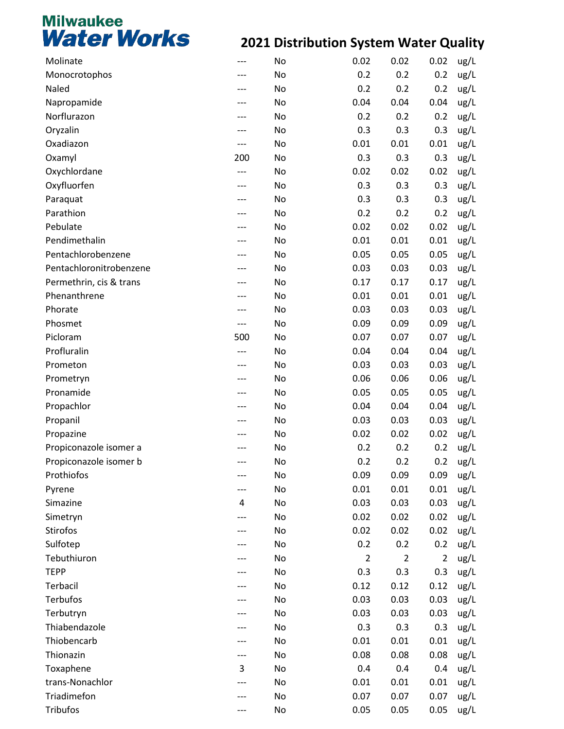| Molinate                |     | No | 0.02           | 0.02           | 0.02           | ug/L |
|-------------------------|-----|----|----------------|----------------|----------------|------|
| Monocrotophos           |     | No | 0.2            | 0.2            | 0.2            | ug/L |
| Naled                   | --- | No | 0.2            | 0.2            | 0.2            | ug/L |
| Napropamide             |     | No | 0.04           | 0.04           | 0.04           | ug/L |
| Norflurazon             |     | No | 0.2            | 0.2            | 0.2            | ug/L |
| Oryzalin                |     | No | 0.3            | 0.3            | 0.3            | ug/L |
| Oxadiazon               | --- | No | 0.01           | 0.01           | 0.01           | ug/L |
| Oxamyl                  | 200 | No | 0.3            | 0.3            | 0.3            | ug/L |
| Oxychlordane            | --- | No | 0.02           | 0.02           | 0.02           | ug/L |
| Oxyfluorfen             |     | No | 0.3            | 0.3            | 0.3            | ug/L |
| Paraquat                | --- | No | 0.3            | 0.3            | 0.3            | ug/L |
| Parathion               |     | No | 0.2            | 0.2            | 0.2            | ug/L |
| Pebulate                |     | No | 0.02           | 0.02           | 0.02           | ug/L |
| Pendimethalin           |     | No | 0.01           | 0.01           | 0.01           | ug/L |
| Pentachlorobenzene      | --- | No | 0.05           | 0.05           | 0.05           | ug/L |
| Pentachloronitrobenzene |     | No | 0.03           | 0.03           | 0.03           | ug/L |
| Permethrin, cis & trans | --- | No | 0.17           | 0.17           | 0.17           | ug/L |
| Phenanthrene            |     | No | 0.01           | 0.01           | 0.01           | ug/L |
| Phorate                 | --- | No | 0.03           | 0.03           | 0.03           | ug/L |
| Phosmet                 | --- | No | 0.09           | 0.09           | 0.09           | ug/L |
| Picloram                | 500 | No | 0.07           | 0.07           | 0.07           | ug/L |
| Profluralin             |     | No | 0.04           | 0.04           | 0.04           | ug/L |
| Prometon                | --- | No | 0.03           | 0.03           | 0.03           | ug/L |
| Prometryn               |     | No | 0.06           | 0.06           | 0.06           | ug/L |
| Pronamide               | --- | No | 0.05           | 0.05           | 0.05           | ug/L |
| Propachlor              |     | No | 0.04           | 0.04           | 0.04           | ug/L |
| Propanil                | --- | No | 0.03           | 0.03           | 0.03           | ug/L |
| Propazine               |     | No | 0.02           | 0.02           | 0.02           | ug/L |
| Propiconazole isomer a  |     | No | 0.2            | 0.2            | 0.2            | ug/L |
| Propiconazole isomer b  |     | No | 0.2            | 0.2            | 0.2            | ug/L |
| Prothiofos              |     | No | 0.09           | 0.09           | 0.09           | ug/L |
| Pyrene                  |     | No | 0.01           | 0.01           | 0.01           | ug/L |
| Simazine                | 4   | No | 0.03           | 0.03           | 0.03           | ug/L |
| Simetryn                |     | No | 0.02           | 0.02           | 0.02           | ug/L |
| <b>Stirofos</b>         |     | No | 0.02           | 0.02           | 0.02           | ug/L |
| Sulfotep                |     | No | 0.2            | 0.2            | 0.2            | ug/L |
| Tebuthiuron             |     | No | $\overline{2}$ | $\overline{2}$ | $\overline{2}$ | ug/L |
| <b>TEPP</b>             |     | No | 0.3            | 0.3            | 0.3            | ug/L |
| Terbacil                |     | No | 0.12           | 0.12           | 0.12           | ug/L |
| Terbufos                |     | No | 0.03           | 0.03           | 0.03           | ug/L |
| Terbutryn               |     | No | 0.03           | 0.03           | 0.03           | ug/L |
| Thiabendazole           |     | No | 0.3            | 0.3            | 0.3            | ug/L |
| Thiobencarb             |     | No | 0.01           | 0.01           | 0.01           | ug/L |
| Thionazin               |     | No | 0.08           | 0.08           | 0.08           | ug/L |
| Toxaphene               | 3   | No | 0.4            | 0.4            | 0.4            | ug/L |
| trans-Nonachlor         |     | No | 0.01           | 0.01           | 0.01           | ug/L |
| Triadimefon             |     | No | 0.07           | 0.07           | 0.07           | ug/L |
| <b>Tribufos</b>         |     | No | 0.05           | 0.05           | 0.05           | ug/L |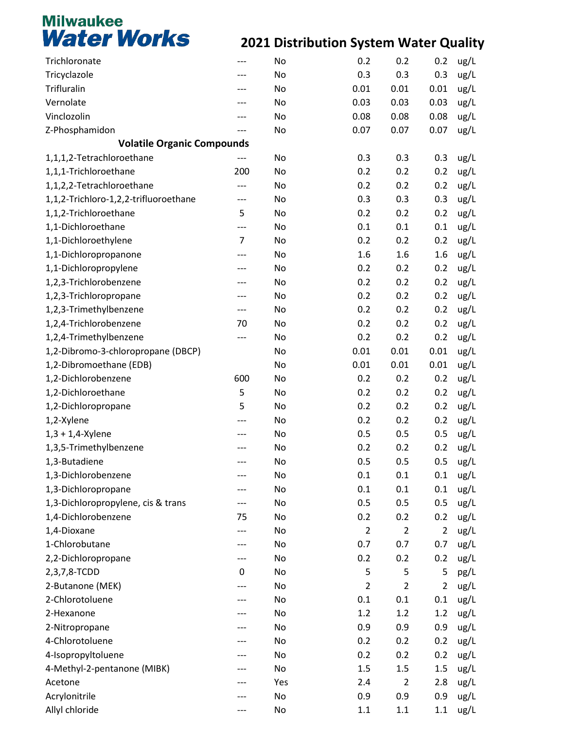| Trichloronate                         |                | No  | 0.2            | 0.2            | 0.2            | ug/L |
|---------------------------------------|----------------|-----|----------------|----------------|----------------|------|
| Tricyclazole                          |                | No  | 0.3            | 0.3            | 0.3            | ug/L |
| Trifluralin                           |                | No  | 0.01           | 0.01           | 0.01           | ug/L |
| Vernolate                             |                | No  | 0.03           | 0.03           | 0.03           | ug/L |
| Vinclozolin                           |                | No  | 0.08           | 0.08           | 0.08           | ug/L |
| Z-Phosphamidon                        |                | No  | 0.07           | 0.07           | 0.07           | ug/L |
| <b>Volatile Organic Compounds</b>     |                |     |                |                |                |      |
| 1,1,1,2-Tetrachloroethane             |                | No  | 0.3            | 0.3            | 0.3            | ug/L |
| 1,1,1-Trichloroethane                 | 200            | No  | 0.2            | 0.2            | 0.2            | ug/L |
| 1,1,2,2-Tetrachloroethane             | ---            | No  | 0.2            | 0.2            | 0.2            | ug/L |
| 1,1,2-Trichloro-1,2,2-trifluoroethane | ---            | No  | 0.3            | 0.3            | 0.3            | ug/L |
| 1,1,2-Trichloroethane                 | 5              | No  | 0.2            | 0.2            | 0.2            | ug/L |
| 1,1-Dichloroethane                    | ---            | No  | 0.1            | 0.1            | 0.1            | ug/L |
| 1,1-Dichloroethylene                  | $\overline{7}$ | No  | 0.2            | 0.2            | 0.2            | ug/L |
| 1,1-Dichloropropanone                 |                | No  | 1.6            | 1.6            | 1.6            | ug/L |
| 1,1-Dichloropropylene                 |                | No  | 0.2            | 0.2            | 0.2            | ug/L |
| 1,2,3-Trichlorobenzene                |                | No  | 0.2            | 0.2            | 0.2            | ug/L |
| 1,2,3-Trichloropropane                |                | No  | 0.2            | 0.2            | 0.2            | ug/L |
| 1,2,3-Trimethylbenzene                | ---            | No  | 0.2            | 0.2            | 0.2            | ug/L |
| 1,2,4-Trichlorobenzene                | 70             | No  | 0.2            | 0.2            | 0.2            | ug/L |
| 1,2,4-Trimethylbenzene                | ---            | No  | 0.2            | 0.2            | 0.2            | ug/L |
| 1,2-Dibromo-3-chloropropane (DBCP)    |                | No  | 0.01           | 0.01           | 0.01           | ug/L |
| 1,2-Dibromoethane (EDB)               |                | No  | 0.01           | 0.01           | 0.01           | ug/L |
| 1,2-Dichlorobenzene                   | 600            | No  | 0.2            | 0.2            | 0.2            | ug/L |
| 1,2-Dichloroethane                    | 5              | No  | 0.2            | 0.2            | 0.2            | ug/L |
| 1,2-Dichloropropane                   | 5              | No  | 0.2            | 0.2            | 0.2            | ug/L |
| 1,2-Xylene                            |                | No  | 0.2            | 0.2            | 0.2            | ug/L |
| $1,3 + 1,4$ -Xylene                   |                | No  | 0.5            | 0.5            | 0.5            | ug/L |
| 1,3,5-Trimethylbenzene                |                | No  | 0.2            | 0.2            | 0.2            | ug/L |
| 1,3-Butadiene                         |                | No  | 0.5            | 0.5            | 0.5            | ug/L |
| 1,3-Dichlorobenzene                   |                | No  | 0.1            | 0.1            | 0.1            | ug/L |
| 1,3-Dichloropropane                   |                | No  | 0.1            | 0.1            | 0.1            | ug/L |
| 1,3-Dichloropropylene, cis & trans    |                | No  | 0.5            | 0.5            | 0.5            | ug/L |
| 1,4-Dichlorobenzene                   | 75             | No  | 0.2            | 0.2            | 0.2            | ug/L |
| 1,4-Dioxane                           |                | No  | $\overline{2}$ | $\overline{2}$ | $\overline{2}$ | ug/L |
| 1-Chlorobutane                        |                | No  | 0.7            | 0.7            | 0.7            | ug/L |
| 2,2-Dichloropropane                   | ---            | No  | 0.2            | 0.2            | 0.2            | ug/L |
| 2,3,7,8-TCDD                          | 0              | No  | 5              | 5              | 5              | pg/L |
| 2-Butanone (MEK)                      |                | No  | $\overline{2}$ | $\overline{2}$ | $\overline{2}$ | ug/L |
| 2-Chlorotoluene                       |                | No  | 0.1            | 0.1            | 0.1            | ug/L |
| 2-Hexanone                            |                | No  | 1.2            | 1.2            | 1.2            | ug/L |
| 2-Nitropropane                        |                | No  | 0.9            | 0.9            | 0.9            | ug/L |
| 4-Chlorotoluene                       |                | No  | 0.2            | 0.2            | 0.2            | ug/L |
| 4-Isopropyltoluene                    |                | No  | 0.2            | 0.2            | 0.2            | ug/L |
| 4-Methyl-2-pentanone (MIBK)           |                | No  | 1.5            | 1.5            | 1.5            | ug/L |
| Acetone                               |                | Yes | 2.4            | $\overline{2}$ | 2.8            | ug/L |
| Acrylonitrile                         |                | No  | 0.9            | 0.9            | 0.9            | ug/L |
| Allyl chloride                        |                | No  | 1.1            | $1.1\,$        | $1.1\,$        | ug/L |
|                                       |                |     |                |                |                |      |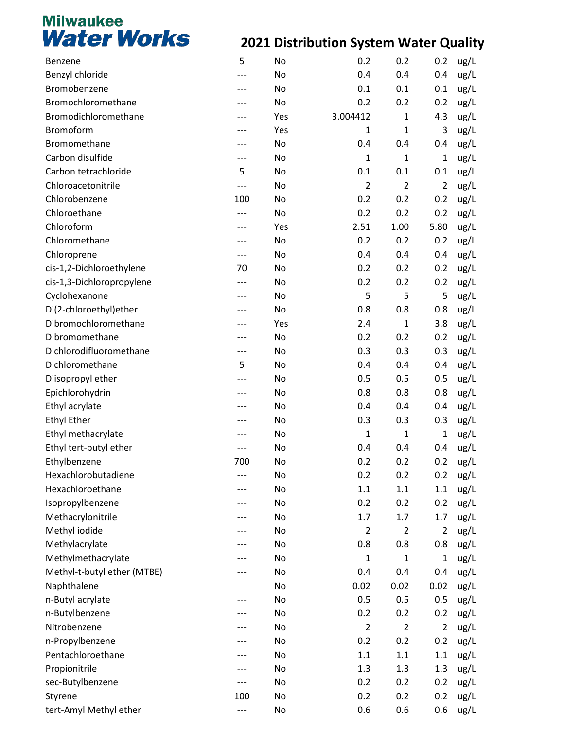| Benzene                     | 5     | No  | 0.2            | 0.2            | 0.2            | ug/L |
|-----------------------------|-------|-----|----------------|----------------|----------------|------|
| Benzyl chloride             | ---   | No  | 0.4            | 0.4            | 0.4            | ug/L |
| Bromobenzene                | ---   | No  | 0.1            | 0.1            | 0.1            | ug/L |
| Bromochloromethane          |       | No  | 0.2            | 0.2            | 0.2            | ug/L |
| Bromodichloromethane        |       | Yes | 3.004412       | 1              | 4.3            | ug/L |
| Bromoform                   |       | Yes | $\mathbf{1}$   | $\mathbf{1}$   | 3              | ug/L |
| Bromomethane                | ---   | No  | 0.4            | 0.4            | 0.4            | ug/L |
| Carbon disulfide            | ---   | No  | $\mathbf{1}$   | $\mathbf{1}$   | $\mathbf{1}$   | ug/L |
| Carbon tetrachloride        | 5     | No  | 0.1            | 0.1            | 0.1            | ug/L |
| Chloroacetonitrile          | $---$ | No  | $\overline{2}$ | $\overline{2}$ | $\overline{2}$ | ug/L |
| Chlorobenzene               | 100   | No  | 0.2            | 0.2            | 0.2            | ug/L |
| Chloroethane                |       | No  | 0.2            | 0.2            | 0.2            | ug/L |
| Chloroform                  | ---   | Yes | 2.51           | 1.00           | 5.80           | ug/L |
| Chloromethane               |       | No  | 0.2            | 0.2            | 0.2            | ug/L |
| Chloroprene                 | $---$ | No  | 0.4            | 0.4            | 0.4            | ug/L |
| cis-1,2-Dichloroethylene    | 70    | No  | 0.2            | 0.2            | 0.2            | ug/L |
| cis-1,3-Dichloropropylene   | $---$ | No  | 0.2            | 0.2            | 0.2            | ug/L |
| Cyclohexanone               |       | No  | 5              | 5              | 5              | ug/L |
| Di(2-chloroethyl)ether      | ---   | No  | 0.8            | 0.8            | 0.8            | ug/L |
| Dibromochloromethane        |       | Yes | 2.4            | $\mathbf{1}$   | 3.8            | ug/L |
| Dibromomethane              | ---   | No  | 0.2            | 0.2            | 0.2            | ug/L |
| Dichlorodifluoromethane     | ---   | No  | 0.3            | 0.3            | 0.3            | ug/L |
| Dichloromethane             | 5     | No  | 0.4            | 0.4            | 0.4            | ug/L |
| Diisopropyl ether           |       | No  | 0.5            | 0.5            | 0.5            | ug/L |
| Epichlorohydrin             |       | No  | 0.8            | 0.8            | 0.8            | ug/L |
| Ethyl acrylate              |       | No  | 0.4            | 0.4            | 0.4            | ug/L |
| <b>Ethyl Ether</b>          | ---   | No  | 0.3            | 0.3            | 0.3            | ug/L |
| Ethyl methacrylate          |       | No  | $\mathbf{1}$   | 1              | 1              | ug/L |
| Ethyl tert-butyl ether      | ---   | No  | 0.4            | 0.4            | 0.4            | ug/L |
| Ethylbenzene                | 700   | No  | 0.2            | 0.2            | 0.2            | ug/L |
| Hexachlorobutadiene         |       | No  | 0.2            | 0.2            | 0.2            | ug/L |
| Hexachloroethane            |       | No  | 1.1            | $1.1\,$        | 1.1            | ug/L |
| Isopropylbenzene            |       | No  | 0.2            | 0.2            | 0.2            | ug/L |
| Methacrylonitrile           |       | No  | 1.7            | 1.7            | 1.7            | ug/L |
| Methyl iodide               |       | No  | $\overline{2}$ | $\overline{2}$ | $\overline{2}$ | ug/L |
| Methylacrylate              |       | No  | 0.8            | 0.8            | 0.8            | ug/L |
| Methylmethacrylate          | ---   | No  | 1              | 1              | 1              | ug/L |
| Methyl-t-butyl ether (MTBE) |       | No  | 0.4            | 0.4            | 0.4            | ug/L |
| Naphthalene                 |       | No  | 0.02           | 0.02           | 0.02           | ug/L |
| n-Butyl acrylate            |       | No  | 0.5            | 0.5            | 0.5            | ug/L |
| n-Butylbenzene              | ---   | No  | 0.2            | 0.2            | 0.2            | ug/L |
| Nitrobenzene                |       | No  | $\overline{2}$ | $\overline{2}$ | $\overline{2}$ | ug/L |
| n-Propylbenzene             |       | No  | 0.2            | 0.2            | 0.2            | ug/L |
| Pentachloroethane           |       | No  | 1.1            | $1.1\,$        | 1.1            | ug/L |
| Propionitrile               | ---   | No  | 1.3            | 1.3            | 1.3            | ug/L |
| sec-Butylbenzene            | ---   | No  | 0.2            | 0.2            | 0.2            | ug/L |
| Styrene                     | 100   | No  | 0.2            | 0.2            | 0.2            | ug/L |
| tert-Amyl Methyl ether      | ---   | No  | 0.6            | 0.6            | 0.6            | ug/L |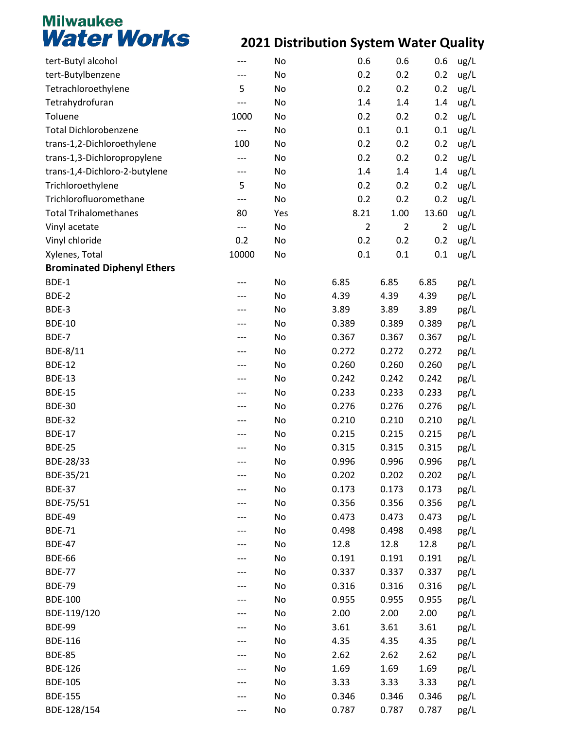| tert-Butyl alcohol                | ---   | No  | 0.6            | 0.6            | 0.6            | ug/L |
|-----------------------------------|-------|-----|----------------|----------------|----------------|------|
| tert-Butylbenzene                 |       | No  | 0.2            | 0.2            | 0.2            | ug/L |
| Tetrachloroethylene               | 5     | No  | 0.2            | 0.2            | 0.2            | ug/L |
| Tetrahydrofuran                   |       | No  | 1.4            | 1.4            | 1.4            | ug/L |
| Toluene                           | 1000  | No  | 0.2            | 0.2            | 0.2            | ug/L |
| <b>Total Dichlorobenzene</b>      | ---   | No  | 0.1            | 0.1            | 0.1            | ug/L |
| trans-1,2-Dichloroethylene        | 100   | No  | 0.2            | 0.2            | 0.2            | ug/L |
| trans-1,3-Dichloropropylene       | ---   | No  | 0.2            | 0.2            | 0.2            | ug/L |
| trans-1,4-Dichloro-2-butylene     | ---   | No  | 1.4            | 1.4            | 1.4            | ug/L |
| Trichloroethylene                 | 5     | No  | 0.2            | 0.2            | 0.2            | ug/L |
| Trichlorofluoromethane            | ---   | No  | 0.2            | 0.2            | 0.2            | ug/L |
| <b>Total Trihalomethanes</b>      | 80    | Yes | 8.21           | 1.00           | 13.60          | ug/L |
| Vinyl acetate                     | $---$ | No  | $\overline{2}$ | $\overline{2}$ | $\overline{2}$ | ug/L |
| Vinyl chloride                    | 0.2   | No  | 0.2            | 0.2            | 0.2            | ug/L |
| Xylenes, Total                    | 10000 | No  | 0.1            | 0.1            | 0.1            | ug/L |
| <b>Brominated Diphenyl Ethers</b> |       |     |                |                |                |      |
| BDE-1                             |       | No  | 6.85           | 6.85           | 6.85           | pg/L |
| BDE-2                             |       | No  | 4.39           | 4.39           | 4.39           | pg/L |
| BDE-3                             |       | No  | 3.89           | 3.89           | 3.89           | pg/L |
| <b>BDE-10</b>                     |       | No  | 0.389          | 0.389          | 0.389          | pg/L |
| BDE-7                             |       | No  | 0.367          | 0.367          | 0.367          | pg/L |
| BDE-8/11                          |       | No  | 0.272          | 0.272          | 0.272          | pg/L |
| <b>BDE-12</b>                     | ---   | No  | 0.260          | 0.260          | 0.260          | pg/L |
| <b>BDE-13</b>                     |       | No  | 0.242          | 0.242          | 0.242          | pg/L |
| <b>BDE-15</b>                     |       | No  | 0.233          | 0.233          | 0.233          | pg/L |
| <b>BDE-30</b>                     |       | No  | 0.276          | 0.276          | 0.276          | pg/L |
| <b>BDE-32</b>                     | ---   | No  | 0.210          | 0.210          | 0.210          | pg/L |
| <b>BDE-17</b>                     |       | No  | 0.215          | 0.215          | 0.215          | pg/L |
| <b>BDE-25</b>                     |       | No  | 0.315          | 0.315          | 0.315          | pg/L |
| BDE-28/33                         | ---   | No  | 0.996          | 0.996          | 0.996          | pg/L |
| BDE-35/21                         |       | No  | 0.202          | 0.202          | 0.202          | pg/L |
| <b>BDE-37</b>                     |       | No  | 0.173          | 0.173          | 0.173          | pg/L |
| BDE-75/51                         |       | No  | 0.356          | 0.356          | 0.356          | pg/L |
| <b>BDE-49</b>                     |       | No  | 0.473          | 0.473          | 0.473          | pg/L |
| <b>BDE-71</b>                     |       | No  | 0.498          | 0.498          | 0.498          | pg/L |
| <b>BDE-47</b>                     |       | No  | 12.8           | 12.8           | 12.8           | pg/L |
| <b>BDE-66</b>                     |       | No  | 0.191          | 0.191          | 0.191          | pg/L |
| <b>BDE-77</b>                     |       | No  | 0.337          | 0.337          | 0.337          | pg/L |
| <b>BDE-79</b>                     |       | No  | 0.316          | 0.316          | 0.316          | pg/L |
| <b>BDE-100</b>                    |       | No  | 0.955          | 0.955          | 0.955          |      |
| BDE-119/120                       |       | No  | 2.00           | 2.00           | 2.00           | pg/L |
| <b>BDE-99</b>                     |       | No  | 3.61           | 3.61           | 3.61           | pg/L |
|                                   |       |     |                |                |                | pg/L |
| <b>BDE-116</b>                    |       | No  | 4.35           | 4.35           | 4.35           | pg/L |
| <b>BDE-85</b>                     |       | No  | 2.62           | 2.62           | 2.62           | pg/L |
| <b>BDE-126</b>                    |       | No  | 1.69           | 1.69           | 1.69           | pg/L |
| <b>BDE-105</b>                    |       | No  | 3.33           | 3.33           | 3.33           | pg/L |
| <b>BDE-155</b>                    |       | No  | 0.346          | 0.346          | 0.346          | pg/L |
| BDE-128/154                       |       | No  | 0.787          | 0.787          | 0.787          | pg/L |